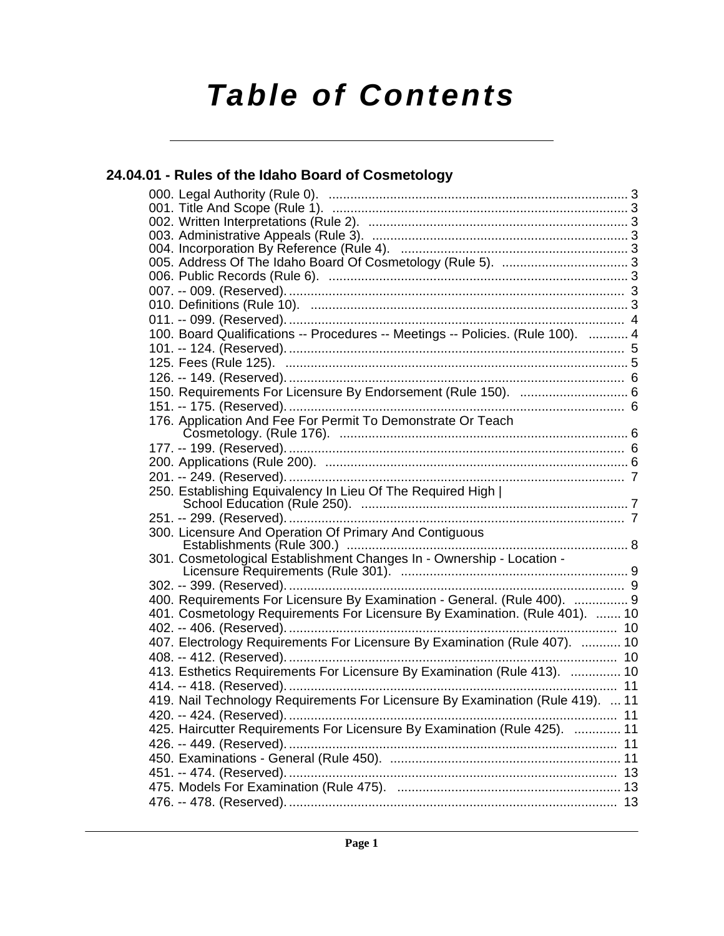# **Table of Contents**

## **[24.04.01 - Rules of the Idaho Board of Cosmetology](#page-2-0)**

| 100. Board Qualifications -- Procedures -- Meetings -- Policies. (Rule 100).  4 |    |
|---------------------------------------------------------------------------------|----|
|                                                                                 |    |
|                                                                                 |    |
|                                                                                 |    |
| 150. Requirements For Licensure By Endorsement (Rule 150).  6                   |    |
|                                                                                 |    |
| 176. Application And Fee For Permit To Demonstrate Or Teach                     |    |
|                                                                                 |    |
|                                                                                 |    |
|                                                                                 |    |
|                                                                                 |    |
|                                                                                 |    |
|                                                                                 |    |
|                                                                                 |    |
|                                                                                 |    |
| 301. Cosmetological Establishment Changes In - Ownership - Location -           |    |
|                                                                                 |    |
|                                                                                 |    |
| 400. Requirements For Licensure By Examination - General. (Rule 400).  9        |    |
| 401. Cosmetology Requirements For Licensure By Examination. (Rule 401).  10     |    |
|                                                                                 |    |
| 407. Electrology Requirements For Licensure By Examination (Rule 407).  10      |    |
|                                                                                 |    |
| 413. Esthetics Requirements For Licensure By Examination (Rule 413).  10        |    |
|                                                                                 |    |
| 419. Nail Technology Requirements For Licensure By Examination (Rule 419).  11  |    |
| 420. -- 424. (Reserved).                                                        | 11 |
| 425. Haircutter Requirements For Licensure By Examination (Rule 425).  11       |    |
|                                                                                 |    |
|                                                                                 |    |
|                                                                                 |    |
|                                                                                 |    |
|                                                                                 |    |
|                                                                                 |    |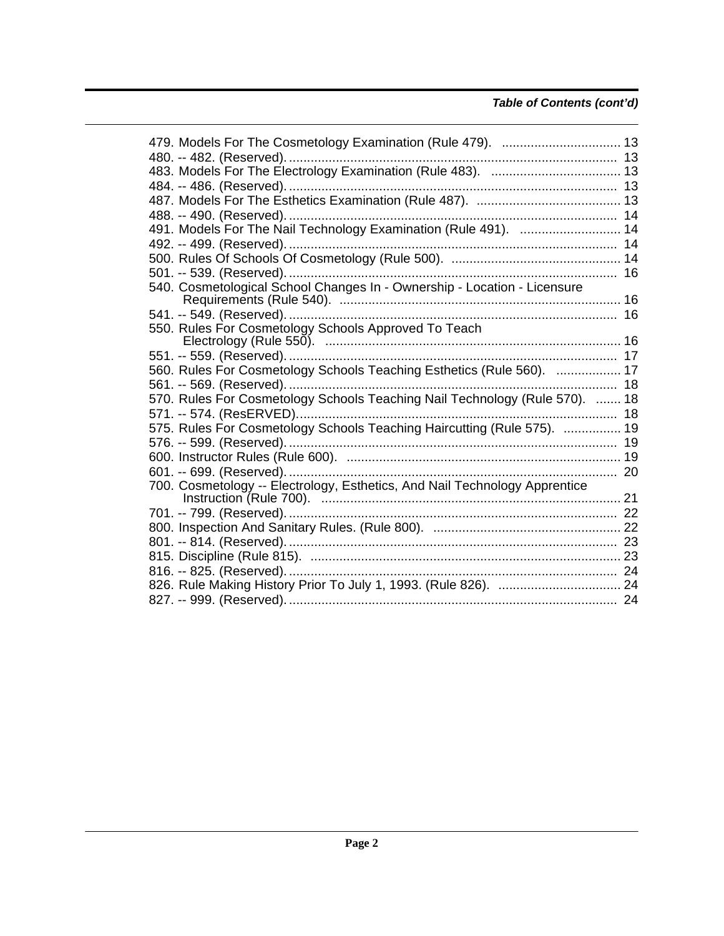### **Table of Contents (cont'd)**

| 479. Models For The Cosmetology Examination (Rule 479).  13                |  |
|----------------------------------------------------------------------------|--|
|                                                                            |  |
|                                                                            |  |
|                                                                            |  |
|                                                                            |  |
|                                                                            |  |
| 491. Models For The Nail Technology Examination (Rule 491).  14            |  |
|                                                                            |  |
|                                                                            |  |
|                                                                            |  |
| 540. Cosmetological School Changes In - Ownership - Location - Licensure   |  |
|                                                                            |  |
|                                                                            |  |
| 550. Rules For Cosmetology Schools Approved To Teach                       |  |
|                                                                            |  |
|                                                                            |  |
| 560. Rules For Cosmetology Schools Teaching Esthetics (Rule 560).  17      |  |
|                                                                            |  |
|                                                                            |  |
|                                                                            |  |
| 575. Rules For Cosmetology Schools Teaching Haircutting (Rule 575).  19    |  |
|                                                                            |  |
|                                                                            |  |
|                                                                            |  |
| 700. Cosmetology -- Electrology, Esthetics, And Nail Technology Apprentice |  |
|                                                                            |  |
|                                                                            |  |
|                                                                            |  |
|                                                                            |  |
|                                                                            |  |
|                                                                            |  |
|                                                                            |  |
|                                                                            |  |
|                                                                            |  |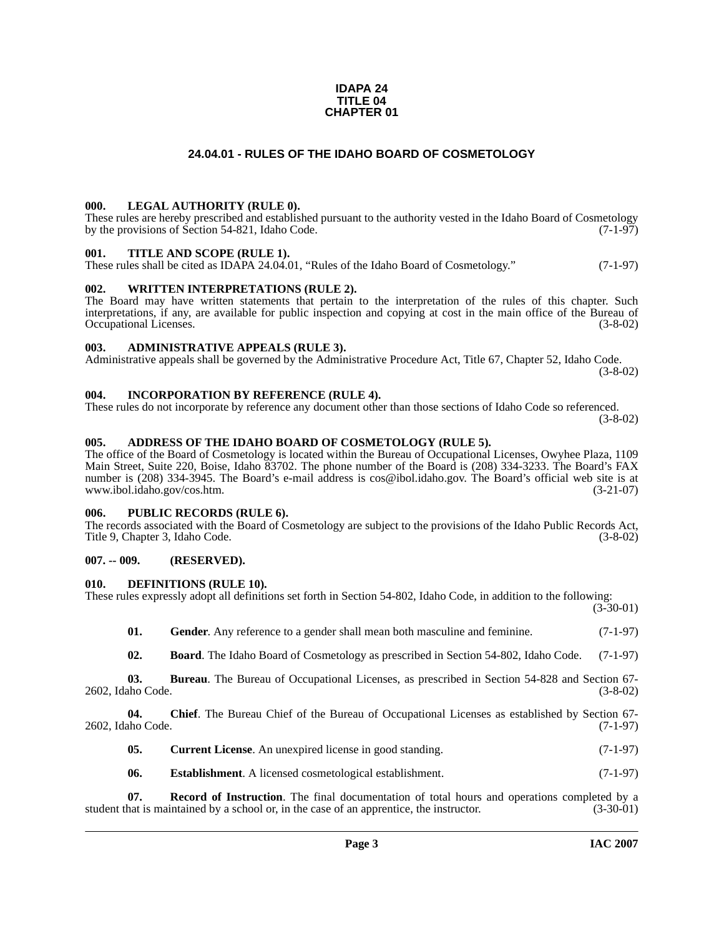#### **IDAPA 24 TITLE 04 CHAPTER 01**

#### **24.04.01 - RULES OF THE IDAHO BOARD OF COSMETOLOGY**

#### <span id="page-2-1"></span><span id="page-2-0"></span>**000. LEGAL AUTHORITY (RULE 0).**

These rules are hereby prescribed and established pursuant to the authority vested in the Idaho Board of Cosmetology by the provisions of Section 54-821, Idaho Code. (7-1-97)

#### <span id="page-2-2"></span>**001. TITLE AND SCOPE (RULE 1).**

These rules shall be cited as IDAPA 24.04.01, "Rules of the Idaho Board of Cosmetology." (7-1-97)

#### <span id="page-2-3"></span>**002. WRITTEN INTERPRETATIONS (RULE 2).**

The Board may have written statements that pertain to the interpretation of the rules of this chapter. Such interpretations, if any, are available for public inspection and copying at cost in the main office of the Bureau of Occupational Licenses. (3-8-02) Occupational Licenses.

#### <span id="page-2-4"></span>**003. ADMINISTRATIVE APPEALS (RULE 3).**

Administrative appeals shall be governed by the Administrative Procedure Act, Title 67, Chapter 52, Idaho Code. (3-8-02)

<span id="page-2-5"></span>**004. INCORPORATION BY REFERENCE (RULE 4).**

These rules do not incorporate by reference any document other than those sections of Idaho Code so referenced. (3-8-02)

#### <span id="page-2-10"></span><span id="page-2-6"></span>**005. ADDRESS OF THE IDAHO BOARD OF COSMETOLOGY (RULE 5).**

[The office of the Board of Cosmetology is located within the Bureau of Occupational Licenses, Owyhee Plaza, 1109](mailto:cos@ibol.idaho.gov)  Main Street, Suite 220, Boise, Idaho 83702. The phone number of the Board is (208) 334-3233. The Board's FAX number is (208) 334-3945. The Board's e-mail address is cos@ibol.idaho.gov. The Board's official web site is at [www.ibol.idaho.gov/cos.htm. \(3-21-07\)](http://www.ibol.idaho.gov/cos.htm)

#### <span id="page-2-7"></span>**006. PUBLIC RECORDS (RULE 6).**

The records associated with the Board of Cosmetology are subject to the provisions of the Idaho Public Records Act, Title 9, Chapter 3, Idaho Code. (3-8-02)

#### <span id="page-2-8"></span>**007. -- 009. (RESERVED).**

#### <span id="page-2-13"></span><span id="page-2-9"></span>**010. DEFINITIONS (RULE 10).**

These rules expressly adopt all definitions set forth in Section 54-802, Idaho Code, in addition to the following:

 $(3-30-01)$ 

<span id="page-2-14"></span>

| 01. | <b>Gender</b> . Any reference to a gender shall mean both masculine and feminine. | $(7-1-97)$ |
|-----|-----------------------------------------------------------------------------------|------------|
|-----|-----------------------------------------------------------------------------------|------------|

<span id="page-2-11"></span>**02. Board**. The Idaho Board of Cosmetology as prescribed in Section 54-802, Idaho Code. (7-1-97)

**03. Bureau**. The Bureau of Occupational Licenses, as prescribed in Section 54-828 and Section 67- 2602, Idaho Code. (3-8-02)

**04.** Chief. The Bureau Chief of the Bureau of Occupational Licenses as established by Section 67-<br>(7-1-97) 2602, Idaho Code.

- <span id="page-2-12"></span>**05.** Current License. An unexpired license in good standing. (7-1-97)
- <span id="page-2-15"></span>**06.** Establishment. A licensed cosmetological establishment. (7-1-97)

**07. Record of Instruction**. The final documentation of total hours and operations completed by a student that is maintained by a school or, in the case of an apprentice, the instructor. (3-30-01)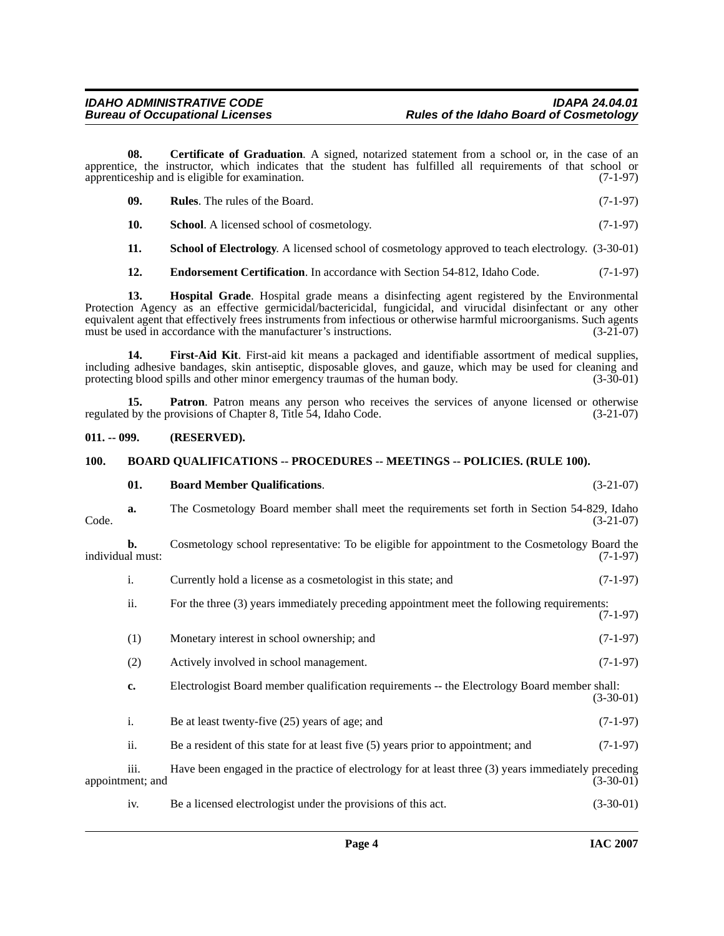**08. Certificate of Graduation**. A signed, notarized statement from a school or, in the case of an apprentice, the instructor, which indicates that the student has fulfilled all requirements of that school or apprentices apprentices in and is eligible for examination. apprenticeship and is eligible for examination.

<span id="page-3-4"></span>

| -09. | <b>Rules.</b> The rules of the Board. | $(7-1-97)$ |
|------|---------------------------------------|------------|
|------|---------------------------------------|------------|

**10.** School. A licensed school of cosmetology. (7-1-97)

<span id="page-3-8"></span>**11. School of Electrology**. A licensed school of cosmetology approved to teach electrology. (3-30-01)

<span id="page-3-7"></span><span id="page-3-6"></span><span id="page-3-5"></span>**12. Endorsement Certification**. In accordance with Section 54-812, Idaho Code. (7-1-97)

**13. Hospital Grade**. Hospital grade means a disinfecting agent registered by the Environmental Protection Agency as an effective germicidal/bactericidal, fungicidal, and virucidal disinfectant or any other equivalent agent that effectively frees instruments from infectious or otherwise harmful microorganisms. Such agents<br>must be used in accordance with the manufacturer's instructions. (3-21-07) must be used in accordance with the manufacturer's instructions.

**14. First-Aid Kit**. First-aid kit means a packaged and identifiable assortment of medical supplies, including adhesive bandages, skin antiseptic, disposable gloves, and gauze, which may be used for cleaning and protecting blood spills and other minor emergency traumas of the human body.

**15. Patron**. Patron means any person who receives the services of anyone licensed or otherwise if by the provisions of Chapter 8, Title 54, Idaho Code. (3-21-07) regulated by the provisions of Chapter 8, Title 54, Idaho Code.

#### <span id="page-3-0"></span>**011. -- 099. (RESERVED).**

#### <span id="page-3-3"></span><span id="page-3-1"></span>**100. BOARD QUALIFICATIONS -- PROCEDURES -- MEETINGS -- POLICIES. (RULE 100).**

<span id="page-3-2"></span>

|       | 01.                      | <b>Board Member Qualifications.</b>                                                                 | $(3-21-07)$ |
|-------|--------------------------|-----------------------------------------------------------------------------------------------------|-------------|
| Code. | a.                       | The Cosmetology Board member shall meet the requirements set forth in Section 54-829, Idaho         | $(3-21-07)$ |
|       | b.<br>individual must:   | Cosmetology school representative: To be eligible for appointment to the Cosmetology Board the      | $(7-1-97)$  |
|       | i.                       | Currently hold a license as a cosmetologist in this state; and                                      | $(7-1-97)$  |
|       | ii.                      | For the three (3) years immediately preceding appointment meet the following requirements:          | $(7-1-97)$  |
|       | (1)                      | Monetary interest in school ownership; and                                                          | $(7-1-97)$  |
|       | (2)                      | Actively involved in school management.                                                             | $(7-1-97)$  |
|       | c.                       | Electrologist Board member qualification requirements -- the Electrology Board member shall:        | $(3-30-01)$ |
|       | i.                       | Be at least twenty-five (25) years of age; and                                                      | $(7-1-97)$  |
|       | ii.                      | Be a resident of this state for at least five $(5)$ years prior to appointment; and                 | $(7-1-97)$  |
|       | iii.<br>appointment; and | Have been engaged in the practice of electrology for at least three (3) years immediately preceding | $(3-30-01)$ |
|       | iv.                      | Be a licensed electrologist under the provisions of this act.                                       | $(3-30-01)$ |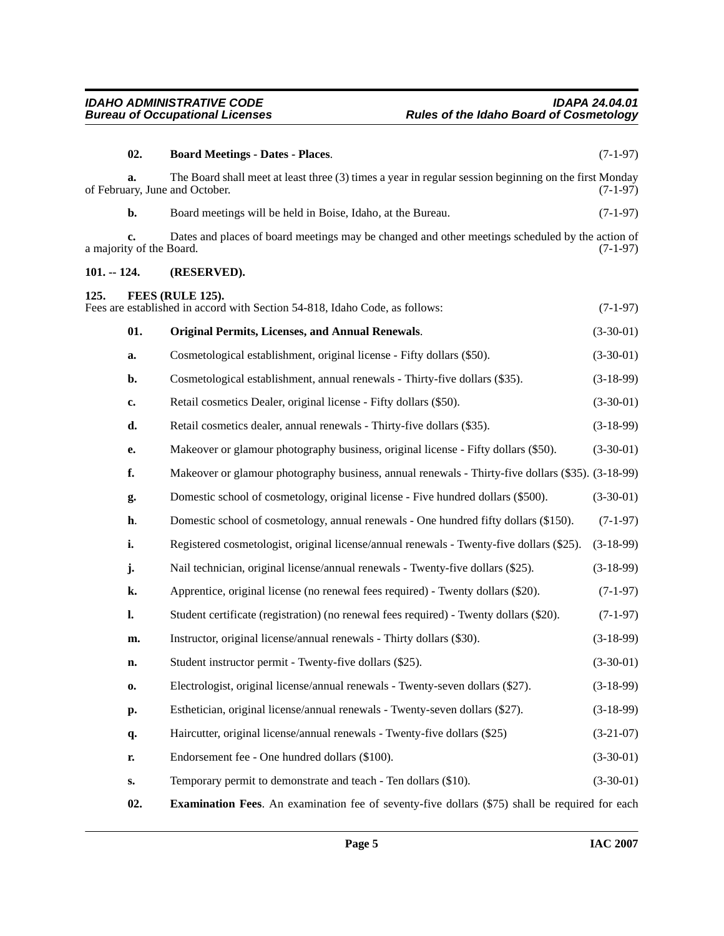<span id="page-4-5"></span><span id="page-4-4"></span><span id="page-4-3"></span><span id="page-4-2"></span><span id="page-4-1"></span><span id="page-4-0"></span>

|               | 02.                            | <b>Board Meetings - Dates - Places.</b>                                                                                                 | $(7-1-97)$  |
|---------------|--------------------------------|-----------------------------------------------------------------------------------------------------------------------------------------|-------------|
|               | a.                             | The Board shall meet at least three (3) times a year in regular session beginning on the first Monday<br>of February, June and October. | $(7-1-97)$  |
|               | b.                             | Board meetings will be held in Boise, Idaho, at the Bureau.                                                                             | $(7-1-97)$  |
|               | c.<br>a majority of the Board. | Dates and places of board meetings may be changed and other meetings scheduled by the action of                                         | $(7-1-97)$  |
| $101. - 124.$ |                                | (RESERVED).                                                                                                                             |             |
| 125.          |                                | FEES (RULE 125).<br>Fees are established in accord with Section 54-818, Idaho Code, as follows:                                         | $(7-1-97)$  |
|               | 01.                            | <b>Original Permits, Licenses, and Annual Renewals.</b>                                                                                 | $(3-30-01)$ |
|               | a.                             | Cosmetological establishment, original license - Fifty dollars (\$50).                                                                  | $(3-30-01)$ |
|               | b.                             | Cosmetological establishment, annual renewals - Thirty-five dollars (\$35).                                                             | $(3-18-99)$ |
|               | c.                             | Retail cosmetics Dealer, original license - Fifty dollars (\$50).                                                                       | $(3-30-01)$ |
|               | d.                             | Retail cosmetics dealer, annual renewals - Thirty-five dollars (\$35).                                                                  | $(3-18-99)$ |
|               | e.                             | Makeover or glamour photography business, original license - Fifty dollars (\$50).                                                      | $(3-30-01)$ |
|               | f.                             | Makeover or glamour photography business, annual renewals - Thirty-five dollars (\$35). (3-18-99)                                       |             |
|               | g.                             | Domestic school of cosmetology, original license - Five hundred dollars (\$500).                                                        | $(3-30-01)$ |
|               | h.                             | Domestic school of cosmetology, annual renewals - One hundred fifty dollars (\$150).                                                    | $(7-1-97)$  |
|               | i.                             | Registered cosmetologist, original license/annual renewals - Twenty-five dollars (\$25).                                                | $(3-18-99)$ |
|               | j.                             | Nail technician, original license/annual renewals - Twenty-five dollars (\$25).                                                         | $(3-18-99)$ |
|               | k.                             | Apprentice, original license (no renewal fees required) - Twenty dollars (\$20).                                                        | $(7-1-97)$  |
|               | l.                             | Student certificate (registration) (no renewal fees required) - Twenty dollars (\$20).                                                  | $(7-1-97)$  |
|               | m.                             | Instructor, original license/annual renewals - Thirty dollars (\$30).                                                                   | $(3-18-99)$ |
|               | n.                             | Student instructor permit - Twenty-five dollars (\$25).                                                                                 | $(3-30-01)$ |
|               | 0.                             | Electrologist, original license/annual renewals - Twenty-seven dollars (\$27).                                                          | $(3-18-99)$ |
|               | p.                             | Esthetician, original license/annual renewals - Twenty-seven dollars (\$27).                                                            | $(3-18-99)$ |
|               | q.                             | Haircutter, original license/annual renewals - Twenty-five dollars (\$25)                                                               | $(3-21-07)$ |
|               | r.                             | Endorsement fee - One hundred dollars (\$100).                                                                                          | $(3-30-01)$ |
|               | s.                             | Temporary permit to demonstrate and teach - Ten dollars (\$10).                                                                         | $(3-30-01)$ |
|               | 02.                            | <b>Examination Fees.</b> An examination fee of seventy-five dollars (\$75) shall be required for each                                   |             |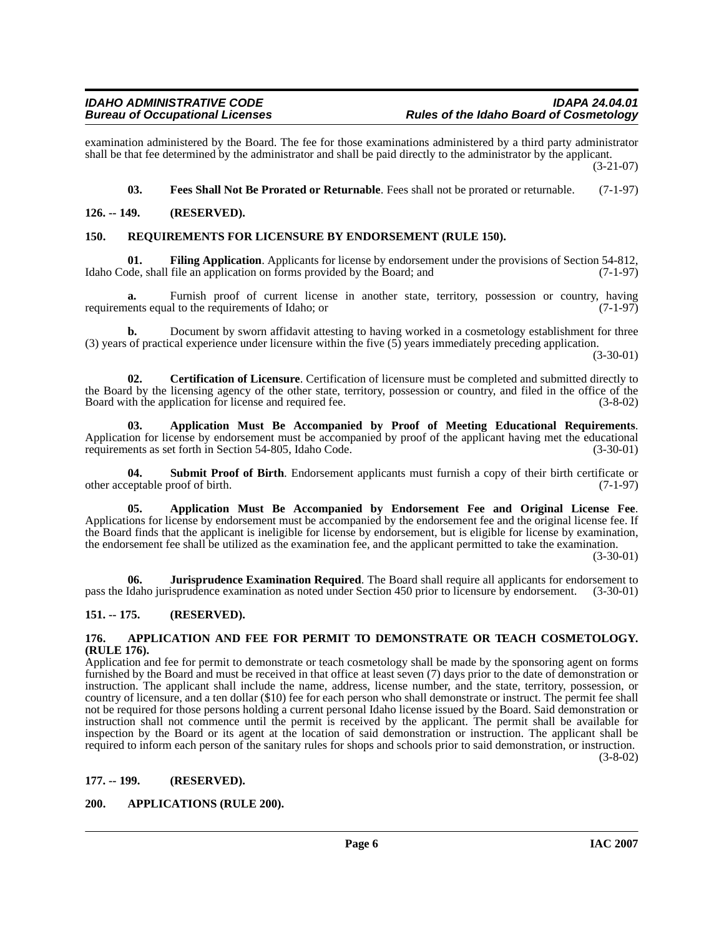examination administered by the Board. The fee for those examinations administered by a third party administrator shall be that fee determined by the administrator and shall be paid directly to the administrator by the applicant. (3-21-07)

<span id="page-5-14"></span><span id="page-5-12"></span><span id="page-5-11"></span>**03. Fees Shall Not Be Prorated or Returnable**. Fees shall not be prorated or returnable. (7-1-97)

#### <span id="page-5-0"></span>**126. -- 149. (RESERVED).**

#### <span id="page-5-1"></span>**150. REQUIREMENTS FOR LICENSURE BY ENDORSEMENT (RULE 150).**

**01. Filing Application**. Applicants for license by endorsement under the provisions of Section 54-812, ode, shall file an application on forms provided by the Board; and (7-1-97) Idaho Code, shall file an application on forms provided by the Board; and

Furnish proof of current license in another state, territory, possession or country, having requirements equal to the requirements of Idaho; or (7-1-97)

**b.** Document by sworn affidavit attesting to having worked in a cosmetology establishment for three (3) years of practical experience under licensure within the five (5) years immediately preceding application.

(3-30-01)

<span id="page-5-10"></span>**02. Certification of Licensure**. Certification of licensure must be completed and submitted directly to the Board by the licensing agency of the other state, territory, possession or country, and filed in the office of the Board with the application for license and required fee. (3-8-02) Board with the application for license and required fee.

<span id="page-5-8"></span>**03. Application Must Be Accompanied by Proof of Meeting Educational Requirements**. Application for license by endorsement must be accompanied by proof of the applicant having met the educational requirements as set forth in Section 54-805, Idaho Code. (3-30-01) requirements as set forth in Section 54-805, Idaho Code.

<span id="page-5-15"></span>**Submit Proof of Birth**. Endorsement applicants must furnish a copy of their birth certificate or other acceptable proof of birth. (7-1-97)

<span id="page-5-7"></span>**05. Application Must Be Accompanied by Endorsement Fee and Original License Fee**. Applications for license by endorsement must be accompanied by the endorsement fee and the original license fee. If the Board finds that the applicant is ineligible for license by endorsement, but is eligible for license by examination, the endorsement fee shall be utilized as the examination fee, and the applicant permitted to take the examination.

 $(3-30-01)$ 

<span id="page-5-13"></span>**06. Jurisprudence Examination Required**. The Board shall require all applicants for endorsement to pass the Idaho jurisprudence examination as noted under Section 450 prior to licensure by endorsement. (3-30-01)

#### <span id="page-5-2"></span>**151. -- 175. (RESERVED).**

#### <span id="page-5-6"></span><span id="page-5-3"></span>**176. APPLICATION AND FEE FOR PERMIT TO DEMONSTRATE OR TEACH COSMETOLOGY. (RULE 176).**

Application and fee for permit to demonstrate or teach cosmetology shall be made by the sponsoring agent on forms furnished by the Board and must be received in that office at least seven (7) days prior to the date of demonstration or instruction. The applicant shall include the name, address, license number, and the state, territory, possession, or country of licensure, and a ten dollar (\$10) fee for each person who shall demonstrate or instruct. The permit fee shall not be required for those persons holding a current personal Idaho license issued by the Board. Said demonstration or instruction shall not commence until the permit is received by the applicant. The permit shall be available for inspection by the Board or its agent at the location of said demonstration or instruction. The applicant shall be required to inform each person of the sanitary rules for shops and schools prior to said demonstration, or instruction.  $(3-8-02)$ 

#### <span id="page-5-4"></span>**177. -- 199. (RESERVED).**

#### <span id="page-5-9"></span><span id="page-5-5"></span>**200. APPLICATIONS (RULE 200).**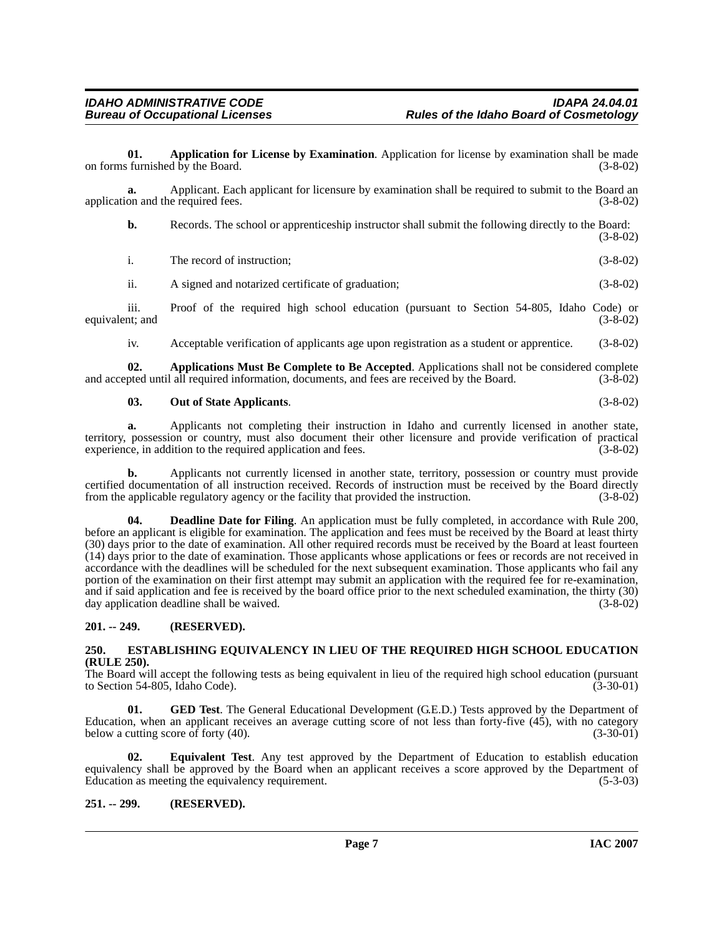<span id="page-6-3"></span>**01. Application for License by Examination**. Application for license by examination shall be made on forms furnished by the Board.

**a.** Applicant. Each applicant for licensure by examination shall be required to submit to the Board an application and the required fees. (3-8-02) application and the required fees.

**b.** Records. The school or apprenticeship instructor shall submit the following directly to the Board: (3-8-02)

| The record of instruction; | $(3-8-02)$ |  |
|----------------------------|------------|--|
|                            |            |  |

ii. A signed and notarized certificate of graduation; (3-8-02)

iii. Proof of the required high school education (pursuant to Section 54-805, Idaho Code) or equivalent; and (3-8-02)

<span id="page-6-4"></span>iv. Acceptable verification of applicants age upon registration as a student or apprentice. (3-8-02)

**02. Applications Must Be Complete to Be Accepted**. Applications shall not be considered complete pted until all required information, documents, and fees are received by the Board. (3-8-02) and accepted until all required information, documents, and fees are received by the Board.

#### <span id="page-6-9"></span>**03. Out of State Applicants**. (3-8-02)

**a.** Applicants not completing their instruction in Idaho and currently licensed in another state, territory, possession or country, must also document their other licensure and provide verification of practical experience, in addition to the required application and fees. (3-8-02) experience, in addition to the required application and fees.

**b.** Applicants not currently licensed in another state, territory, possession or country must provide certified documentation of all instruction received. Records of instruction must be received by the Board directly<br>from the applicable regulatory agency or the facility that provided the instruction. (3-8-02) from the applicable regulatory agency or the facility that provided the instruction.

<span id="page-6-5"></span>**Deadline Date for Filing**. An application must be fully completed, in accordance with Rule 200, before an applicant is eligible for examination. The application and fees must be received by the Board at least thirty (30) days prior to the date of examination. All other required records must be received by the Board at least fourteen (14) days prior to the date of examination. Those applicants whose applications or fees or records are not received in accordance with the deadlines will be scheduled for the next subsequent examination. Those applicants who fail any portion of the examination on their first attempt may submit an application with the required fee for re-examination, and if said application and fee is received by the board office prior to the next scheduled examination, the thirty (30) day application deadline shall be waived. (3-8-02) day application deadline shall be waived.

#### <span id="page-6-0"></span>**201. -- 249. (RESERVED).**

#### <span id="page-6-7"></span><span id="page-6-1"></span>**250. ESTABLISHING EQUIVALENCY IN LIEU OF THE REQUIRED HIGH SCHOOL EDUCATION (RULE 250).**

The Board will accept the following tests as being equivalent in lieu of the required high school education (pursuant to Section 54-805, Idaho Code). (3-30-01)

<span id="page-6-8"></span>**01. GED Test**. The General Educational Development (G.E.D.) Tests approved by the Department of Education, when an applicant receives an average cutting score of not less than forty-five  $(45)$ , with no category below a cutting score of forty  $(40)$ .  $(3-30-01)$ below a cutting score of forty  $(40)$ .

<span id="page-6-6"></span>**02. Equivalent Test**. Any test approved by the Department of Education to establish education equivalency shall be approved by the Board when an applicant receives a score approved by the Department of Education as meeting the equivalency requirement. (5-3-03) Education as meeting the equivalency requirement.

#### <span id="page-6-2"></span>**251. -- 299. (RESERVED).**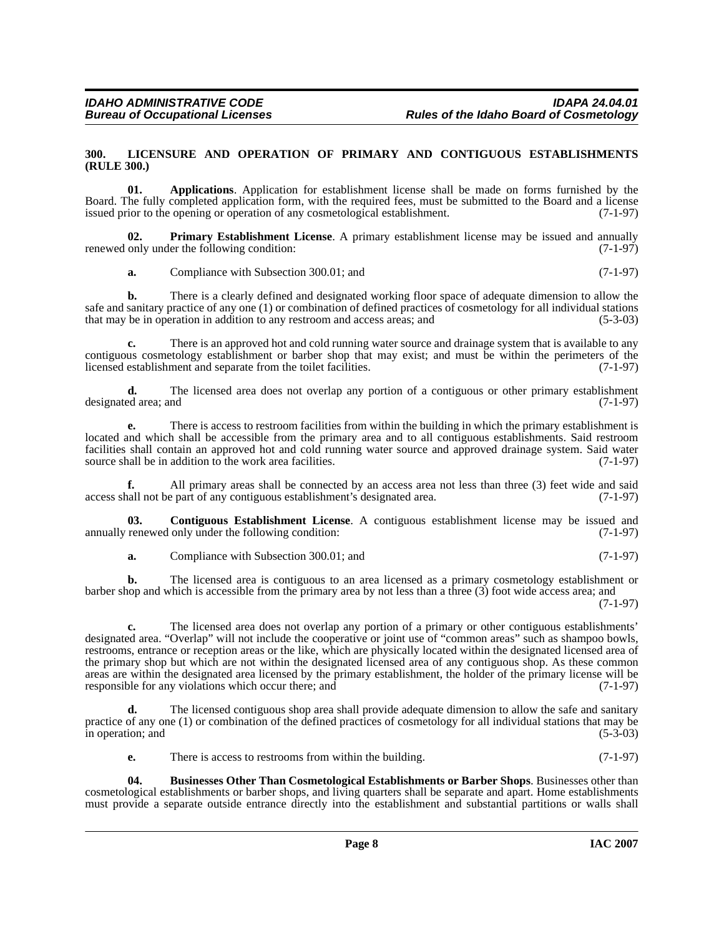#### <span id="page-7-4"></span><span id="page-7-0"></span>**300. LICENSURE AND OPERATION OF PRIMARY AND CONTIGUOUS ESTABLISHMENTS (RULE 300.)**

<span id="page-7-1"></span>**01. Applications**. Application for establishment license shall be made on forms furnished by the Board. The fully completed application form, with the required fees, must be submitted to the Board and a license issued prior to the opening or operation of any cosmetological establishment. (7-1-97) issued prior to the opening or operation of any cosmetological establishment.

**02. Primary Establishment License**. A primary establishment license may be issued and annually renewed only under the following condition: (7-1-97)

<span id="page-7-5"></span>**a.** Compliance with Subsection 300.01; and (7-1-97)

**b.** There is a clearly defined and designated working floor space of adequate dimension to allow the safe and sanitary practice of any one (1) or combination of defined practices of cosmetology for all individual stations that may be in operation in addition to any restroom and access areas; and (5-3-03) that may be in operation in addition to any restroom and access areas; and

There is an approved hot and cold running water source and drainage system that is available to any contiguous cosmetology establishment or barber shop that may exist; and must be within the perimeters of the licensed establishment and separate from the toilet facilities. (7-1-97)

**d.** The licensed area does not overlap any portion of a contiguous or other primary establishment ed area; and (7-1-97) designated area; and

**e.** There is access to restroom facilities from within the building in which the primary establishment is located and which shall be accessible from the primary area and to all contiguous establishments. Said restroom facilities shall contain an approved hot and cold running water source and approved drainage system. Said water source shall be in addition to the work area facilities. (7-1-97) source shall be in addition to the work area facilities.

**f.** All primary areas shall be connected by an access area not less than three (3) feet wide and said hall not be part of any contiguous establishment's designated area. (7-1-97) access shall not be part of any contiguous establishment's designated area.

**03. Contiguous Establishment License**. A contiguous establishment license may be issued and annually renewed only under the following condition: (7-1-97)

<span id="page-7-3"></span>**a.** Compliance with Subsection 300.01; and (7-1-97)

**b.** The licensed area is contiguous to an area licensed as a primary cosmetology establishment or barber shop and which is accessible from the primary area by not less than a three (3) foot wide access area; and (7-1-97)

**c.** The licensed area does not overlap any portion of a primary or other contiguous establishments' designated area. "Overlap" will not include the cooperative or joint use of "common areas" such as shampoo bowls, restrooms, entrance or reception areas or the like, which are physically located within the designated licensed area of the primary shop but which are not within the designated licensed area of any contiguous shop. As these common areas are within the designated area licensed by the primary establishment, the holder of the primary license will be responsible for any violations which occur there; and (7-1-97)

**d.** The licensed contiguous shop area shall provide adequate dimension to allow the safe and sanitary practice of any one (1) or combination of the defined practices of cosmetology for all individual stations that may be in operation; and

<span id="page-7-2"></span>**e.** There is access to restrooms from within the building. (7-1-97)

**04. Businesses Other Than Cosmetological Establishments or Barber Shops**. Businesses other than cosmetological establishments or barber shops, and living quarters shall be separate and apart. Home establishments must provide a separate outside entrance directly into the establishment and substantial partitions or walls shall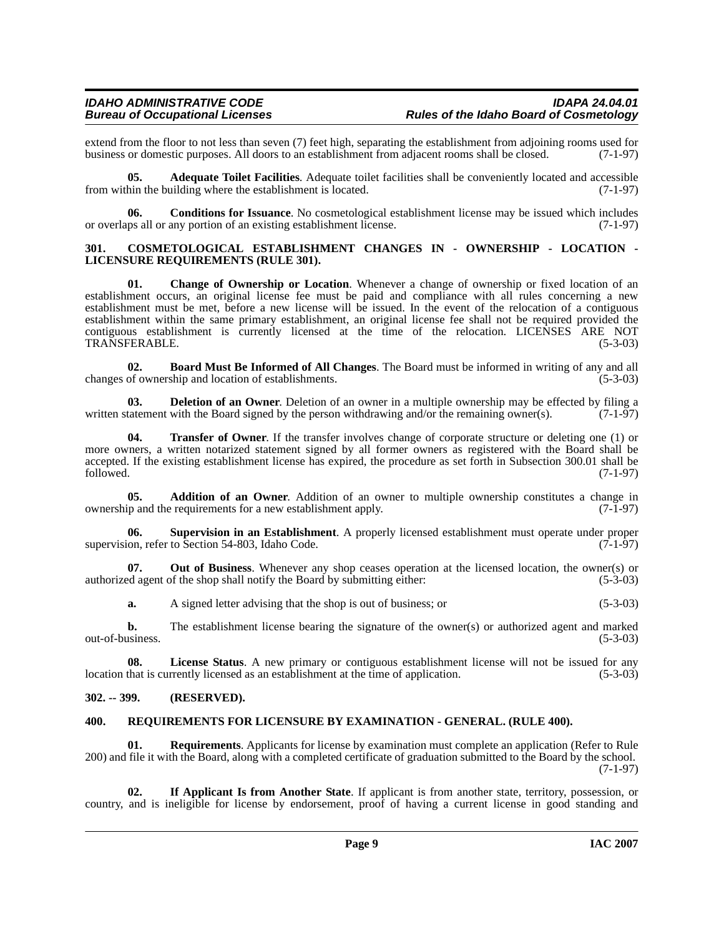extend from the floor to not less than seven (7) feet high, separating the establishment from adjoining rooms used for business or domestic purposes. All doors to an establishment from adjacent rooms shall be closed. (7-1business or domestic purposes. All doors to an establishment from adjacent rooms shall be closed.

<span id="page-8-4"></span>**05. Adequate Toilet Facilities**. Adequate toilet facilities shall be conveniently located and accessible from within the building where the establishment is located. (7-1-97)

<span id="page-8-7"></span>**06. Conditions for Issuance**. No cosmetological establishment license may be issued which includes or overlaps all or any portion of an existing establishment license. (7-1-97)

#### <span id="page-8-8"></span><span id="page-8-0"></span>**301. COSMETOLOGICAL ESTABLISHMENT CHANGES IN - OWNERSHIP - LOCATION - LICENSURE REQUIREMENTS (RULE 301).**

<span id="page-8-6"></span>**01. Change of Ownership or Location**. Whenever a change of ownership or fixed location of an establishment occurs, an original license fee must be paid and compliance with all rules concerning a new establishment must be met, before a new license will be issued. In the event of the relocation of a contiguous establishment within the same primary establishment, an original license fee shall not be required provided the contiguous establishment is currently licensed at the time of the relocation. LICENSES ARE NOT TRANSFERABLE. (5-3-03) TRANSFERABLE.

<span id="page-8-5"></span>**02. Board Must Be Informed of All Changes**. The Board must be informed in writing of any and all changes of ownership and location of establishments.

<span id="page-8-9"></span>**03. Deletion of an Owner**. Deletion of an owner in a multiple ownership may be effected by filing a tatement with the Board signed by the person withdrawing and/or the remaining owner(s). (7-1-97) written statement with the Board signed by the person withdrawing and/or the remaining owner(s).

<span id="page-8-13"></span>**04. Transfer of Owner**. If the transfer involves change of corporate structure or deleting one (1) or more owners, a written notarized statement signed by all former owners as registered with the Board shall be accepted. If the existing establishment license has expired, the procedure as set forth in Subsection 300.01 shall be followed. (7-1-97) followed. (7-1-97)

<span id="page-8-3"></span>**05. Addition of an Owner**. Addition of an owner to multiple ownership constitutes a change in ownership and the requirements for a new establishment apply. (7-1-97)

<span id="page-8-12"></span>**06. Supervision in an Establishment**. A properly licensed establishment must operate under proper supervision, refer to Section 54-803, Idaho Code.

**07. Out of Business**. Whenever any shop ceases operation at the licensed location, the owner(s) or authorized agent of the shop shall notify the Board by submitting either: (5-3-03)

**a.** A signed letter advising that the shop is out of business; or (5-3-03)

**b.** The establishment license bearing the signature of the owner(s) or authorized agent and marked out-of-business. (5-3-03)

**08.** License Status. A new primary or contiguous establishment license will not be issued for any that is currently licensed as an establishment at the time of application. (5-3-03) location that is currently licensed as an establishment at the time of application.

#### <span id="page-8-1"></span>**302. -- 399. (RESERVED).**

#### <span id="page-8-11"></span><span id="page-8-2"></span>**400. REQUIREMENTS FOR LICENSURE BY EXAMINATION - GENERAL. (RULE 400).**

**Requirements**. Applicants for license by examination must complete an application (Refer to Rule 200) and file it with the Board, along with a completed certificate of graduation submitted to the Board by the school. (7-1-97)

<span id="page-8-10"></span>**02. If Applicant Is from Another State**. If applicant is from another state, territory, possession, or country, and is ineligible for license by endorsement, proof of having a current license in good standing and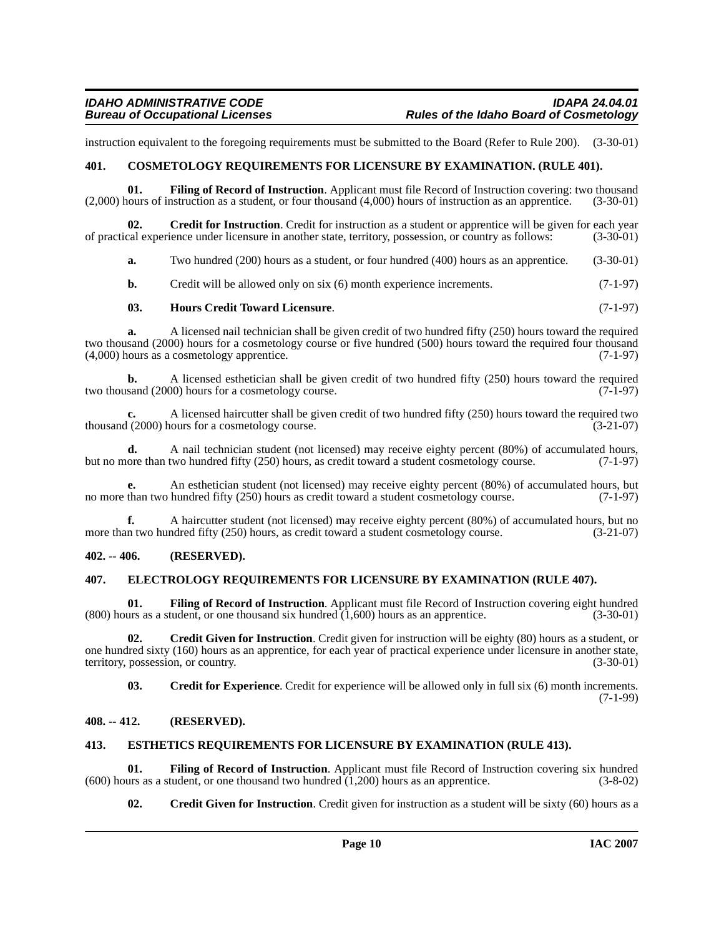instruction equivalent to the foregoing requirements must be submitted to the Board (Refer to Rule 200). (3-30-01)

#### <span id="page-9-5"></span><span id="page-9-0"></span>**401. COSMETOLOGY REQUIREMENTS FOR LICENSURE BY EXAMINATION. (RULE 401).**

<span id="page-9-12"></span>**01.** Filing of Record of Instruction. Applicant must file Record of Instruction covering: two thousand nours of instruction as a student, or four thousand (4,000) hours of instruction as an apprentice. (3-30-01)  $(2,000)$  hours of instruction as a student, or four thousand  $(4,000)$  hours of instruction as an apprentice.

**Credit for Instruction**. Credit for instruction as a student or apprentice will be given for each year ience under licensure in another state, territory, possession, or country as follows: (3-30-01) of practical experience under licensure in another state, territory, possession, or country as follows:

<span id="page-9-9"></span>**a.** Two hundred (200) hours as a student, or four hundred (400) hours as an apprentice. (3-30-01)

**b.** Credit will be allowed only on six (6) month experience increments. (7-1-97)

#### <span id="page-9-15"></span>**03. Hours Credit Toward Licensure**. (7-1-97)

**a.** A licensed nail technician shall be given credit of two hundred fifty (250) hours toward the required two thousand (2000) hours for a cosmetology course or five hundred (500) hours toward the required four thousand (4,000) hours as a cosmetology apprentice. (7-1-97)

**b.** A licensed esthetician shall be given credit of two hundred fifty (250) hours toward the required sand (2000) hours for a cosmetology course. two thousand (2000) hours for a cosmetology course.

**c.** A licensed haircutter shall be given credit of two hundred fifty (250) hours toward the required two thousand (2000) hours for a cosmetology course. (3-21-07)

**d.** A nail technician student (not licensed) may receive eighty percent (80%) of accumulated hours, ore than two hundred fifty (250) hours, as credit toward a student cosmetology course. (7-1-97) but no more than two hundred fifty (250) hours, as credit toward a student cosmetology course.

An esthetician student (not licensed) may receive eighty percent (80%) of accumulated hours, but hundred fifty (250) hours as credit toward a student cosmetology course. (7-1-97) no more than two hundred fifty (250) hours as credit toward a student cosmetology course.

**f.** A haircutter student (not licensed) may receive eighty percent (80%) of accumulated hours, but no more than two hundred fifty (250) hours, as credit toward a student cosmetology course. (3-21-07)

#### <span id="page-9-1"></span>**402. -- 406. (RESERVED).**

#### <span id="page-9-10"></span><span id="page-9-2"></span>**407. ELECTROLOGY REQUIREMENTS FOR LICENSURE BY EXAMINATION (RULE 407).**

<span id="page-9-13"></span>**01. Filing of Record of Instruction**. Applicant must file Record of Instruction covering eight hundred  $(800)$  hours as a student, or one thousand six hundred  $(1,600)$  hours as an apprentice.  $(3-30-01)$ 

**02. Credit Given for Instruction**. Credit given for instruction will be eighty (80) hours as a student, or one hundred sixty (160) hours as an apprentice, for each year of practical experience under licensure in another state, territory, possession, or country. (3-30-01) territory, possession, or country.

<span id="page-9-8"></span><span id="page-9-6"></span>**03. Credit for Experience**. Credit for experience will be allowed only in full six (6) month increments. (7-1-99)

#### <span id="page-9-3"></span>**408. -- 412. (RESERVED).**

#### <span id="page-9-11"></span><span id="page-9-4"></span>**413. ESTHETICS REQUIREMENTS FOR LICENSURE BY EXAMINATION (RULE 413).**

**01.** Filing of Record of Instruction. Applicant must file Record of Instruction covering six hundred (using as a student, or one thousand two hundred (1,200) hours as an apprentice. (3-8-02) (600) hours as a student, or one thousand two hundred  $(1,200)$  hours as an apprentice.

<span id="page-9-14"></span><span id="page-9-7"></span>**02.** Credit Given for Instruction. Credit given for instruction as a student will be sixty (60) hours as a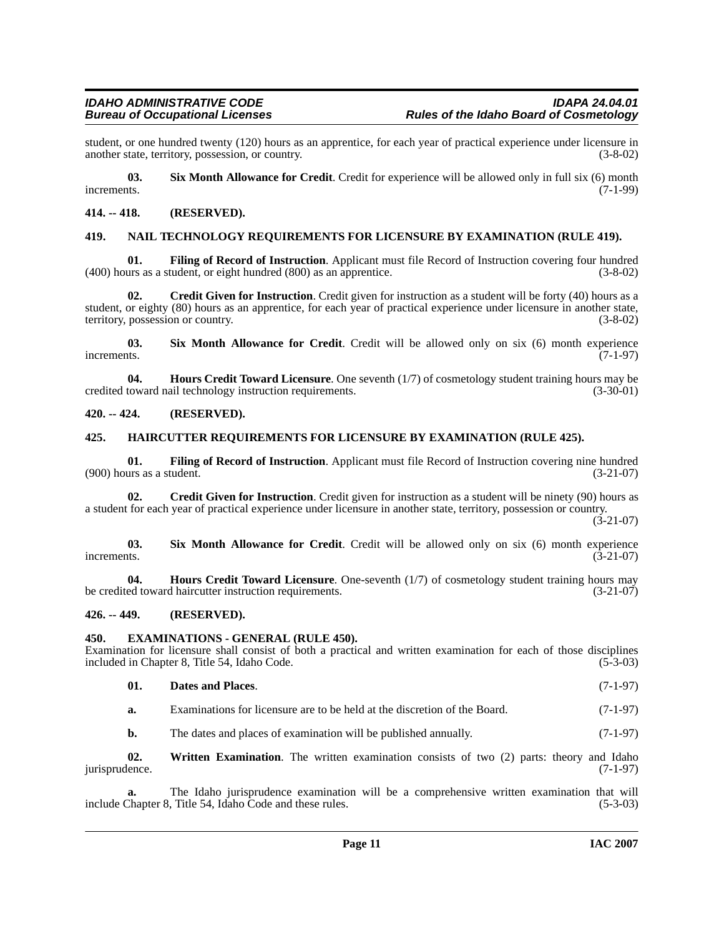student, or one hundred twenty (120) hours as an apprentice, for each year of practical experience under licensure in another state, territory, possession, or country. (3-8-02) another state, territory, possession, or country.

<span id="page-10-12"></span>**03.** Six Month Allowance for Credit. Credit for experience will be allowed only in full six (6) month increments. (7-1-99) increments. (7-1-99)

#### <span id="page-10-0"></span>**414. -- 418. (RESERVED).**

#### <span id="page-10-11"></span><span id="page-10-1"></span>**419. NAIL TECHNOLOGY REQUIREMENTS FOR LICENSURE BY EXAMINATION (RULE 419).**

<span id="page-10-9"></span>**01.** Filing of Record of Instruction. Applicant must file Record of Instruction covering four hundred urs as a student, or eight hundred (800) as an apprentice. (3-8-02)  $(400)$  hours as a student, or eight hundred  $(800)$  as an apprentice.

<span id="page-10-6"></span>**02. Credit Given for Instruction**. Credit given for instruction as a student will be forty (40) hours as a student, or eighty (80) hours as an apprentice, for each year of practical experience under licensure in another state, territory, possession or country. (3-8-02)

<span id="page-10-13"></span>**03. Six Month Allowance for Credit**. Credit will be allowed only on six (6) month experience increments. (7-1-97)

<span id="page-10-10"></span>**04. Hours Credit Toward Licensure**. One seventh (1/7) of cosmetology student training hours may be toward nail technology instruction requirements. (3-30-01) credited toward nail technology instruction requirements.

#### <span id="page-10-2"></span>**420. -- 424. (RESERVED).**

#### <span id="page-10-3"></span>**425. HAIRCUTTER REQUIREMENTS FOR LICENSURE BY EXAMINATION (RULE 425).**

**01. Filing of Record of Instruction**. Applicant must file Record of Instruction covering nine hundred  $(900)$  hours as a student.

**02.** Credit Given for Instruction. Credit given for instruction as a student will be ninety (90) hours as a student for each year of practical experience under licensure in another state, territory, possession or country.

 $(3-21-07)$ 

**03.** Six Month Allowance for Credit. Credit will be allowed only on six (6) month experience increments.  $(3-21-07)$ increments.  $(3-21-07)$ 

**04. Hours Credit Toward Licensure**. One-seventh (1/7) of cosmetology student training hours may be credited toward haircutter instruction requirements. (3-21-07)

#### <span id="page-10-4"></span>**426. -- 449. (RESERVED).**

#### <span id="page-10-8"></span><span id="page-10-5"></span>**450. EXAMINATIONS - GENERAL (RULE 450).**

Examination for licensure shall consist of both a practical and written examination for each of those disciplines included in Chapter 8, Title 54, Idaho Code. (5-3-03) included in Chapter 8, Title 54, Idaho Code.

#### <span id="page-10-7"></span>**01. Dates and Places**. (7-1-97)

**a.** Examinations for licensure are to be held at the discretion of the Board. (7-1-97)

<span id="page-10-14"></span>**b.** The dates and places of examination will be published annually. (7-1-97)

**02. Written Examination**. The written examination consists of two (2) parts: theory and Idaho jurisprudence. (7-1-97)

The Idaho jurisprudence examination will be a comprehensive written examination that will<br>Title 54, Idaho Code and these rules. (5-3-03) include Chapter 8, Title 54, Idaho Code and these rules.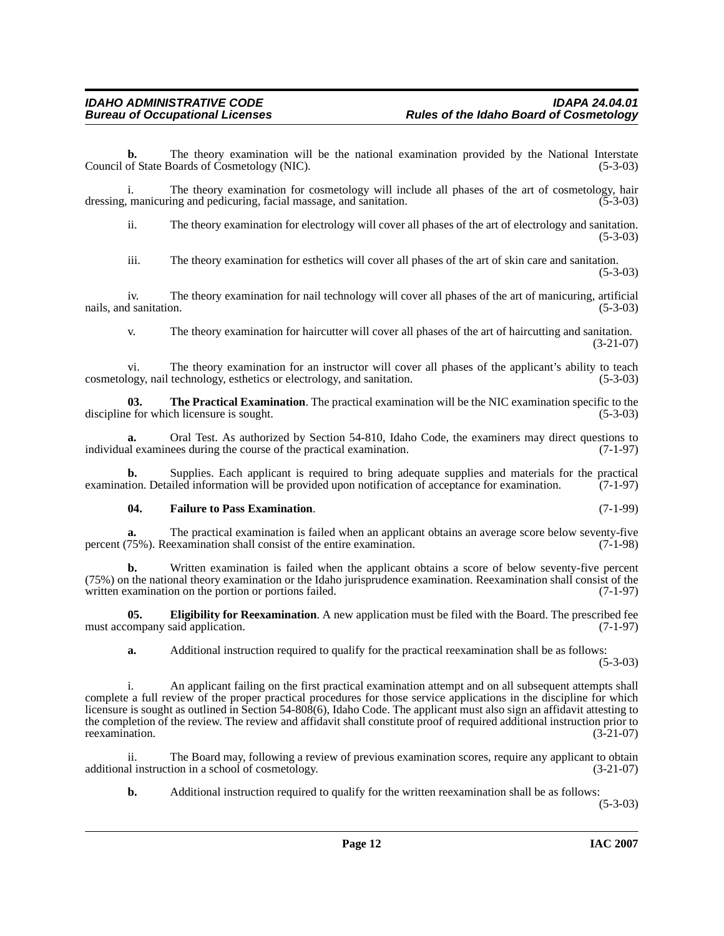**b.** The theory examination will be the national examination provided by the National Interstate of State Boards of Cosmetology (NIC). (5-3-03) Council of State Boards of Cosmetology (NIC).

i. The theory examination for cosmetology will include all phases of the art of cosmetology, hair dressing, manicuring and pedicuring, facial massage, and sanitation. (5-3-03)

ii. The theory examination for electrology will cover all phases of the art of electrology and sanitation.  $(5-3-03)$ 

iii. The theory examination for esthetics will cover all phases of the art of skin care and sanitation. (5-3-03)

iv. The theory examination for nail technology will cover all phases of the art of manicuring, artificial nails, and sanitation. (5-3-03)

v. The theory examination for haircutter will cover all phases of the art of haircutting and sanitation. (3-21-07)

vi. The theory examination for an instructor will cover all phases of the applicant's ability to teach logy, nail technology, esthetics or electrology, and sanitation. (5-3-03) cosmetology, nail technology, esthetics or electrology, and sanitation.

**03.** The Practical Examination. The practical examination will be the NIC examination specific to the e for which licensure is sought. (5-3-03) discipline for which licensure is sought.

**a.** Oral Test. As authorized by Section 54-810, Idaho Code, the examiners may direct questions to al examinees during the course of the practical examination. (7-1-97) individual examinees during the course of the practical examination.

**b.** Supplies. Each applicant is required to bring adequate supplies and materials for the practical tion. Detailed information will be provided upon notification of acceptance for examination. (7-1-97) examination. Detailed information will be provided upon notification of acceptance for examination.

#### <span id="page-11-1"></span>**04. Failure to Pass Examination**. (7-1-99)

**a.** The practical examination is failed when an applicant obtains an average score below seventy-five 75%). Reexamination shall consist of the entire examination. (7-1-98) percent (75%). Reexamination shall consist of the entire examination.

**b.** Written examination is failed when the applicant obtains a score of below seventy-five percent (75%) on the national theory examination or the Idaho jurisprudence examination. Reexamination shall consist of the written examination on the portion or portions failed. (7-1-97)

**05. Eligibility for Reexamination**. A new application must be filed with the Board. The prescribed fee ompany said application. (7-1-97) must accompany said application.

<span id="page-11-0"></span>**a.** Additional instruction required to qualify for the practical reexamination shall be as follows:

(5-3-03)

i. An applicant failing on the first practical examination attempt and on all subsequent attempts shall complete a full review of the proper practical procedures for those service applications in the discipline for which licensure is sought as outlined in Section 54-808(6), Idaho Code. The applicant must also sign an affidavit attesting to the completion of the review. The review and affidavit shall constitute proof of required additional instruction prior to reexamination. (3-21-07) reexamination.

ii. The Board may, following a review of previous examination scores, require any applicant to obtain al instruction in a school of cosmetology. additional instruction in a school of cosmetology.

**b.** Additional instruction required to qualify for the written reexamination shall be as follows:

(5-3-03)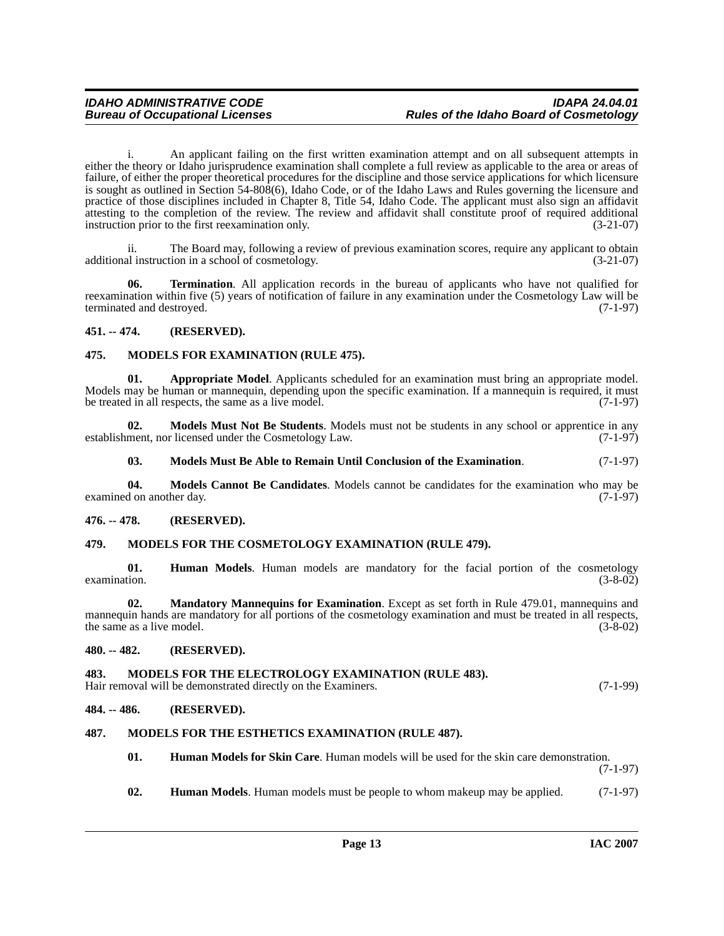i. An applicant failing on the first written examination attempt and on all subsequent attempts in either the theory or Idaho jurisprudence examination shall complete a full review as applicable to the area or areas of failure, of either the proper theoretical procedures for the discipline and those service applications for which licensure is sought as outlined in Section 54-808(6), Idaho Code, or of the Idaho Laws and Rules governing the licensure and practice of those disciplines included in Chapter 8, Title 54, Idaho Code. The applicant must also sign an affidavit attesting to the completion of the review. The review and affidavit shall constitute proof of required additional instruction prior to the first reexamination only. (3-21-07)

ii. The Board may, following a review of previous examination scores, require any applicant to obtain al instruction in a school of cosmetology. (3-21-07) additional instruction in a school of cosmetology.

<span id="page-12-18"></span>**06. Termination**. All application records in the bureau of applicants who have not qualified for reexamination within five (5) years of notification of failure in any examination under the Cosmetology Law will be terminated and destroyed. (7-1-97)

#### <span id="page-12-0"></span>**451. -- 474. (RESERVED).**

#### <span id="page-12-12"></span><span id="page-12-1"></span>**475. MODELS FOR EXAMINATION (RULE 475).**

<span id="page-12-8"></span>**01. Appropriate Model**. Applicants scheduled for an examination must bring an appropriate model. Models may be human or mannequin, depending upon the specific examination. If a mannequin is required, it must<br>be treated in all respects, the same as a live model. (7-1-97) be treated in all respects, the same as a live model.

**02. Models Must Not Be Students**. Models must not be students in any school or apprentice in any ment, nor licensed under the Cosmetology Law. (7-1-97) establishment, nor licensed under the Cosmetology Law.

<span id="page-12-17"></span><span id="page-12-16"></span><span id="page-12-11"></span>**03. Models Must Be Able to Remain Until Conclusion of the Examination**. (7-1-97)

**04. Models Cannot Be Candidates**. Models cannot be candidates for the examination who may be examined on another day. (7-1-97)

#### <span id="page-12-2"></span>**476. -- 478. (RESERVED).**

#### <span id="page-12-13"></span><span id="page-12-3"></span>**479. MODELS FOR THE COSMETOLOGY EXAMINATION (RULE 479).**

**01. Human Models**. Human models are mandatory for the facial portion of the cosmetology  $\alpha$  examination. (3-8-02)

**02. Mandatory Mannequins for Examination**. Except as set forth in Rule 479.01, mannequins and mannequin hands are mandatory for all portions of the cosmetology examination and must be treated in all respects, the same as a live model. (3-8-02) the same as a live model.

#### <span id="page-12-4"></span>**480. -- 482. (RESERVED).**

#### <span id="page-12-14"></span><span id="page-12-5"></span>**483. MODELS FOR THE ELECTROLOGY EXAMINATION (RULE 483).**

Hair removal will be demonstrated directly on the Examiners. (7-1-99)

#### <span id="page-12-6"></span>**484. -- 486. (RESERVED).**

#### <span id="page-12-7"></span>**487. MODELS FOR THE ESTHETICS EXAMINATION (RULE 487).**

<span id="page-12-15"></span><span id="page-12-9"></span>**01. Human Models for Skin Care**. Human models will be used for the skin care demonstration.

(7-1-97)

<span id="page-12-10"></span>**02. Human Models**. Human models must be people to whom makeup may be applied. (7-1-97)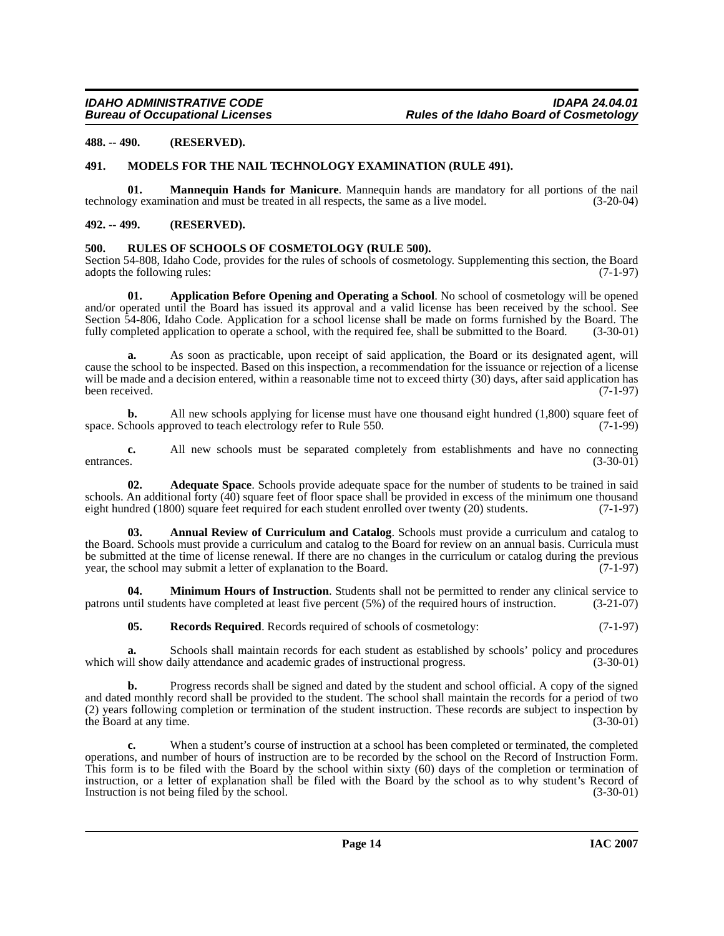#### <span id="page-13-0"></span>**488. -- 490. (RESERVED).**

#### <span id="page-13-8"></span><span id="page-13-1"></span>**491. MODELS FOR THE NAIL TECHNOLOGY EXAMINATION (RULE 491).**

**01. Mannequin Hands for Manicure**. Mannequin hands are mandatory for all portions of the nail gy examination and must be treated in all respects, the same as a live model. (3-20-04) technology examination and must be treated in all respects, the same as a live model.

#### <span id="page-13-2"></span>**492. -- 499. (RESERVED).**

#### <span id="page-13-10"></span><span id="page-13-3"></span>**500. RULES OF SCHOOLS OF COSMETOLOGY (RULE 500).**

Section 54-808, Idaho Code, provides for the rules of schools of cosmetology. Supplementing this section, the Board adopts the following rules: (7-1-97) adopts the following rules:

<span id="page-13-6"></span>**01. Application Before Opening and Operating a School**. No school of cosmetology will be opened and/or operated until the Board has issued its approval and a valid license has been received by the school. See Section  $\overline{54-806}$ , Idaho Code. Application for a school license shall be made on forms furnished by the Board. The fully completed application to operate a school, with the required fee, shall be submitted to the Boar fully completed application to operate a school, with the required fee, shall be submitted to the Board.

**a.** As soon as practicable, upon receipt of said application, the Board or its designated agent, will cause the school to be inspected. Based on this inspection, a recommendation for the issuance or rejection of a license will be made and a decision entered, within a reasonable time not to exceed thirty (30) days, after said application has been received.  $(7-1-97)$ been received. (7-1-97)

**b.** All new schools applying for license must have one thousand eight hundred (1,800) square feet of space. Schools approved to teach electrology refer to Rule 550. (7-1-99)

**c.** All new schools must be separated completely from establishments and have no connecting entrances. (3-30-01) entrances. (3-30-01)

<span id="page-13-4"></span>**02. Adequate Space**. Schools provide adequate space for the number of students to be trained in said schools. An additional forty (40) square feet of floor space shall be provided in excess of the minimum one thousand eight hundred (1800) square feet required for each student enrolled over twenty (20) students. (7-1-97)

<span id="page-13-5"></span>**03. Annual Review of Curriculum and Catalog**. Schools must provide a curriculum and catalog to the Board. Schools must provide a curriculum and catalog to the Board for review on an annual basis. Curricula must be submitted at the time of license renewal. If there are no changes in the curriculum or catalog during the previous year, the school may submit a letter of explanation to the Board. (7-1-97)

**04. Minimum Hours of Instruction**. Students shall not be permitted to render any clinical service to intil students have completed at least five percent (5%) of the required hours of instruction. (3-21-07) patrons until students have completed at least five percent  $(5%)$  of the required hours of instruction.

<span id="page-13-9"></span><span id="page-13-7"></span>**05. Records Required**. Records required of schools of cosmetology: (7-1-97)

**a.** Schools shall maintain records for each student as established by schools' policy and procedures ill show daily attendance and academic grades of instructional progress. (3-30-01) which will show daily attendance and academic grades of instructional progress.

**b.** Progress records shall be signed and dated by the student and school official. A copy of the signed and dated monthly record shall be provided to the student. The school shall maintain the records for a period of two (2) years following completion or termination of the student instruction. These records are subject to inspection by the Board at any time. (3-30-01) the Board at any time.

When a student's course of instruction at a school has been completed or terminated, the completed operations, and number of hours of instruction are to be recorded by the school on the Record of Instruction Form. This form is to be filed with the Board by the school within sixty (60) days of the completion or termination of instruction, or a letter of explanation shall be filed with the Board by the school as to why student's Record of Instruction is not being filed by the school. (3-30-01) Instruction is not being filed by the school.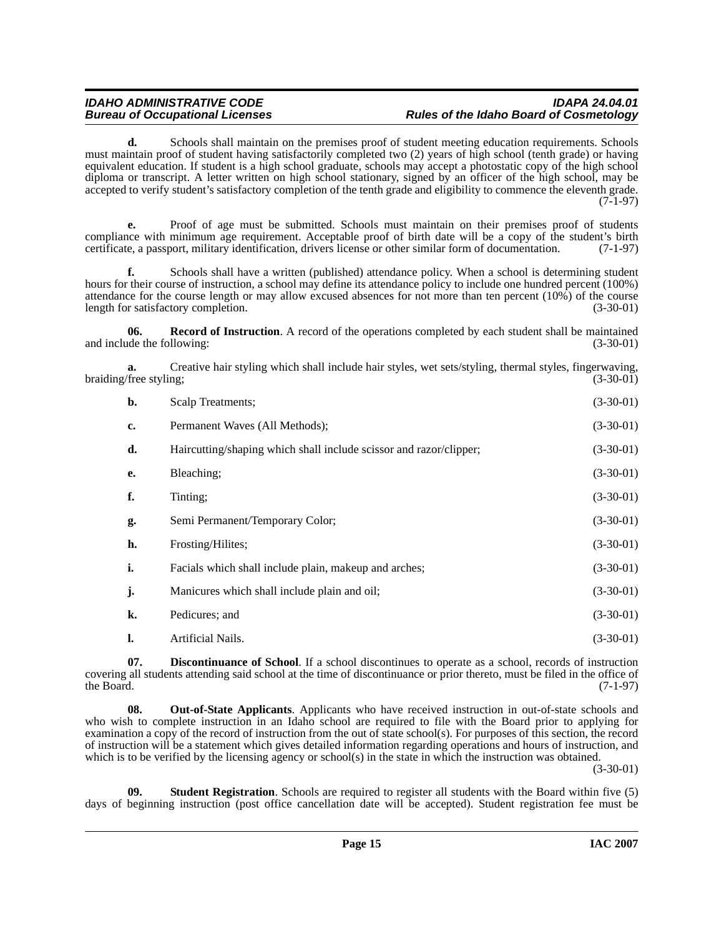#### **IDAHO ADMINISTRATIVE CODE IDAPA 24.04.01 Rules of the Idaho Board of Cosmetology**

**d.** Schools shall maintain on the premises proof of student meeting education requirements. Schools must maintain proof of student having satisfactorily completed two (2) years of high school (tenth grade) or having equivalent education. If student is a high school graduate, schools may accept a photostatic copy of the high school diploma or transcript. A letter written on high school stationary, signed by an officer of the high school, may be accepted to verify student's satisfactory completion of the tenth grade and eligibility to commence the eleventh grade. (7-1-97)

**e.** Proof of age must be submitted. Schools must maintain on their premises proof of students compliance with minimum age requirement. Acceptable proof of birth date will be a copy of the student's birth certificate, a passport, military identification, drivers license or other similar form of documentation. (7-1-97)

**f.** Schools shall have a written (published) attendance policy. When a school is determining student hours for their course of instruction, a school may define its attendance policy to include one hundred percent (100%) attendance for the course length or may allow excused absences for not more than ten percent (10%) of the course length for satisfactory completion. (3-30-01)

<span id="page-14-2"></span>**06. Record of Instruction**. A record of the operations completed by each student shall be maintained de the following: (3-30-01) and include the following:

**a.** Creative hair styling which shall include hair styles, wet sets/styling, thermal styles, fingerwaving, free styling: (3-30-01) braiding/free styling;

| b. | Scalp Treatments;                                                  | $(3-30-01)$ |
|----|--------------------------------------------------------------------|-------------|
| c. | Permanent Waves (All Methods);                                     | $(3-30-01)$ |
| d. | Haircutting/shaping which shall include scissor and razor/clipper; | $(3-30-01)$ |
| e. | Bleaching;                                                         | $(3-30-01)$ |
| f. | Tinting;                                                           | $(3-30-01)$ |
| g. | Semi Permanent/Temporary Color;                                    | $(3-30-01)$ |
| h. | Frosting/Hilites;                                                  | $(3-30-01)$ |
| i. | Facials which shall include plain, makeup and arches;              | $(3-30-01)$ |
| j. | Manicures which shall include plain and oil;                       | $(3-30-01)$ |
| k. | Pedicures; and                                                     | $(3-30-01)$ |
| 1. | Artificial Nails.                                                  | $(3-30-01)$ |

<span id="page-14-0"></span>**07. Discontinuance of School**. If a school discontinues to operate as a school, records of instruction covering all students attending said school at the time of discontinuance or prior thereto, must be filed in the office of the Board.  $(7-1-97)$ 

<span id="page-14-1"></span>**08. Out-of-State Applicants**. Applicants who have received instruction in out-of-state schools and who wish to complete instruction in an Idaho school are required to file with the Board prior to applying for examination a copy of the record of instruction from the out of state school(s). For purposes of this section, the record of instruction will be a statement which gives detailed information regarding operations and hours of instruction, and which is to be verified by the licensing agency or school(s) in the state in which the instruction was obtained.

(3-30-01)

<span id="page-14-3"></span>**09. Student Registration**. Schools are required to register all students with the Board within five (5) days of beginning instruction (post office cancellation date will be accepted). Student registration fee must be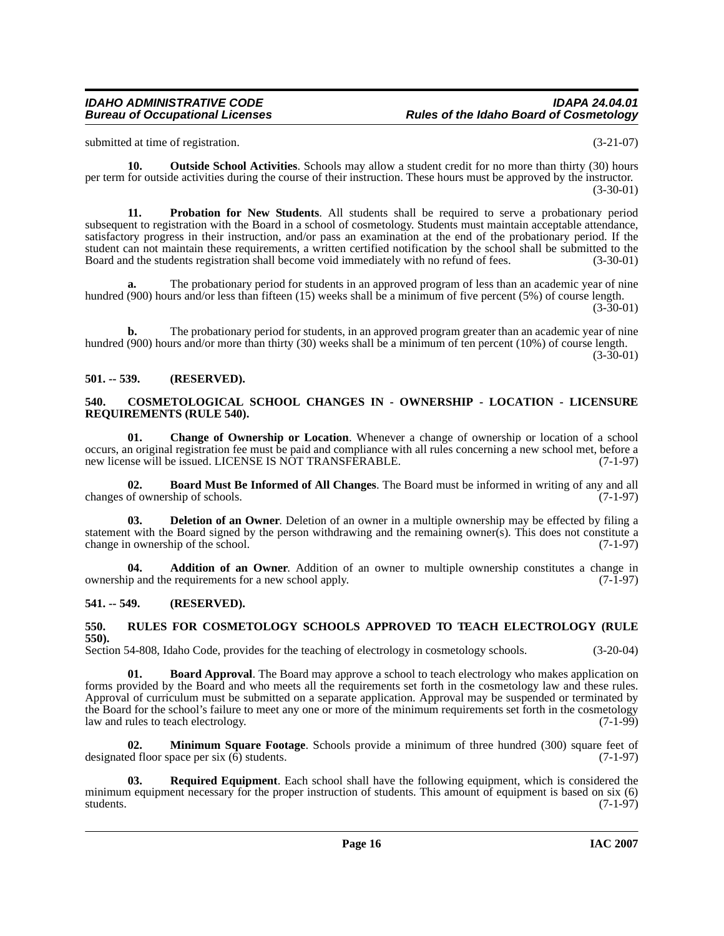#### **IDAHO ADMINISTRATIVE CODE IDAPA 24.04.01 Rules of the Idaho Board of Cosmetology**

submitted at time of registration. (3-21-07)

<span id="page-15-11"></span>**10. Outside School Activities**. Schools may allow a student credit for no more than thirty (30) hours per term for outside activities during the course of their instruction. These hours must be approved by the instructor. (3-30-01)

**11. Probation for New Students**. All students shall be required to serve a probationary period subsequent to registration with the Board in a school of cosmetology. Students must maintain acceptable attendance, satisfactory progress in their instruction, and/or pass an examination at the end of the probationary period. If the student can not maintain these requirements, a written certified notification by the school shall be submitted to the Board and the students registration shall become void immediately with no refund of fees. (3-30-01)

**a.** The probationary period for students in an approved program of less than an academic year of nine hundred (900) hours and/or less than fifteen (15) weeks shall be a minimum of five percent (5%) of course length. (3-30-01)

**b.** The probationary period for students, in an approved program greater than an academic year of nine hundred (900) hours and/or more than thirty (30) weeks shall be a minimum of ten percent (10%) of course length.

(3-30-01)

#### <span id="page-15-0"></span>**501. -- 539. (RESERVED).**

#### <span id="page-15-8"></span><span id="page-15-1"></span>**540. COSMETOLOGICAL SCHOOL CHANGES IN - OWNERSHIP - LOCATION - LICENSURE REQUIREMENTS (RULE 540).**

<span id="page-15-7"></span>**01. Change of Ownership or Location**. Whenever a change of ownership or location of a school occurs, an original registration fee must be paid and compliance with all rules concerning a new school met, before a new license will be issued. LICENSE IS NOT TRANSFERABLE. (7-1-97) new license will be issued. LICENSE IS NOT TRANSFERABLE.

<span id="page-15-6"></span>**02. Board Must Be Informed of All Changes**. The Board must be informed in writing of any and all changes of ownership of schools.

<span id="page-15-9"></span>**Deletion of an Owner**. Deletion of an owner in a multiple ownership may be effected by filing a statement with the Board signed by the person withdrawing and the remaining owner(s). This does not constitute a change in ownership of the school. (7-1-97) change in ownership of the school.

<span id="page-15-4"></span>**04. Addition of an Owner**. Addition of an owner to multiple ownership constitutes a change in ownership and the requirements for a new school apply. (7-1-97)

#### <span id="page-15-2"></span>**541. -- 549. (RESERVED).**

#### <span id="page-15-13"></span><span id="page-15-3"></span>**550. RULES FOR COSMETOLOGY SCHOOLS APPROVED TO TEACH ELECTROLOGY (RULE 550).**

Section 54-808, Idaho Code, provides for the teaching of electrology in cosmetology schools. (3-20-04)

<span id="page-15-5"></span>**01. Board Approval**. The Board may approve a school to teach electrology who makes application on forms provided by the Board and who meets all the requirements set forth in the cosmetology law and these rules. Approval of curriculum must be submitted on a separate application. Approval may be suspended or terminated by the Board for the school's failure to meet any one or more of the minimum requirements set forth in the cosmetology<br>law and rules to teach electrology. (7-1-99) law and rules to teach electrology.

<span id="page-15-10"></span>**02. Minimum Square Footage**. Schools provide a minimum of three hundred (300) square feet of designated floor space per six  $(\vec{6})$  students. (7-1-97)

<span id="page-15-12"></span>**03. Required Equipment**. Each school shall have the following equipment, which is considered the minimum equipment necessary for the proper instruction of students. This amount of equipment is based on six (6) students. (7-1-97) students. (7-1-97)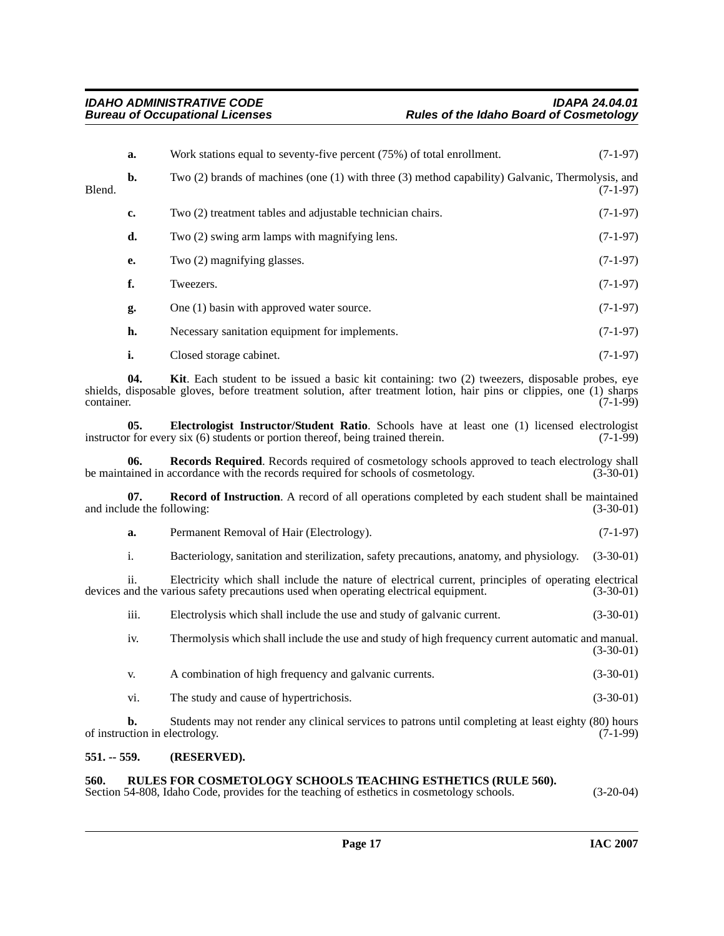|        | a.             | Work stations equal to seventy-five percent (75%) of total enrollment.                           | $(7-1-97)$ |
|--------|----------------|--------------------------------------------------------------------------------------------------|------------|
| Blend. | $\mathbf{b}$ . | Two (2) brands of machines (one (1) with three (3) method capability) Galvanic, Thermolysis, and | $(7-1-97)$ |
|        | c.             | Two (2) treatment tables and adjustable technician chairs.                                       | $(7-1-97)$ |
|        | d.             | Two (2) swing arm lamps with magnifying lens.                                                    | $(7-1-97)$ |
|        | е.             | Two (2) magnifying glasses.                                                                      | $(7-1-97)$ |
|        | f.             | Tweezers.                                                                                        | $(7-1-97)$ |
|        | g.             | One (1) basin with approved water source.                                                        | $(7-1-97)$ |
|        | h.             | Necessary sanitation equipment for implements.                                                   | $(7-1-97)$ |
|        | i.             | Closed storage cabinet.                                                                          | $(7-1-97)$ |

<span id="page-16-3"></span>**04. Kit**. Each student to be issued a basic kit containing: two (2) tweezers, disposable probes, eye shields, disposable gloves, before treatment solution, after treatment lotion, hair pins or clippies, one (1) sharps container. (7-1-99) container.  $(7-1-99)$ 

<span id="page-16-2"></span>**05. Electrologist Instructor/Student Ratio**. Schools have at least one (1) licensed electrologist r for every six (6) students or portion thereof, being trained therein. (7-1-99) instructor for every six  $(6)$  students or portion thereof, being trained therein.

<span id="page-16-5"></span>**06. Records Required**. Records required of cosmetology schools approved to teach electrology shall be maintained in accordance with the records required for schools of cosmetology. (3-30-01)

**07. Record of Instruction**. A record of all operations completed by each student shall be maintained and include the following: (3-30-01)  $(3-30-01)$ 

<span id="page-16-4"></span>**a.** Permanent Removal of Hair (Electrology). (7-1-97)

i. Bacteriology, sanitation and sterilization, safety precautions, anatomy, and physiology. (3-30-01)

ii. Electricity which shall include the nature of electrical current, principles of operating electrical devices and the various safety precautions used when operating electrical equipment. (3-30-01)

iii. Electrolysis which shall include the use and study of galvanic current. (3-30-01)

iv. Thermolysis which shall include the use and study of high frequency current automatic and manual. (3-30-01)

- v. A combination of high frequency and galvanic currents. (3-30-01)
- vi. The study and cause of hypertrichosis. (3-30-01)

**b.** Students may not render any clinical services to patrons until completing at least eighty (80) hours cion in electrology. (7-1-99) of instruction in electrology.

#### <span id="page-16-0"></span>**551. -- 559. (RESERVED).**

#### <span id="page-16-6"></span><span id="page-16-1"></span>**560. RULES FOR COSMETOLOGY SCHOOLS TEACHING ESTHETICS (RULE 560).**

Section 54-808, Idaho Code, provides for the teaching of esthetics in cosmetology schools. (3-20-04)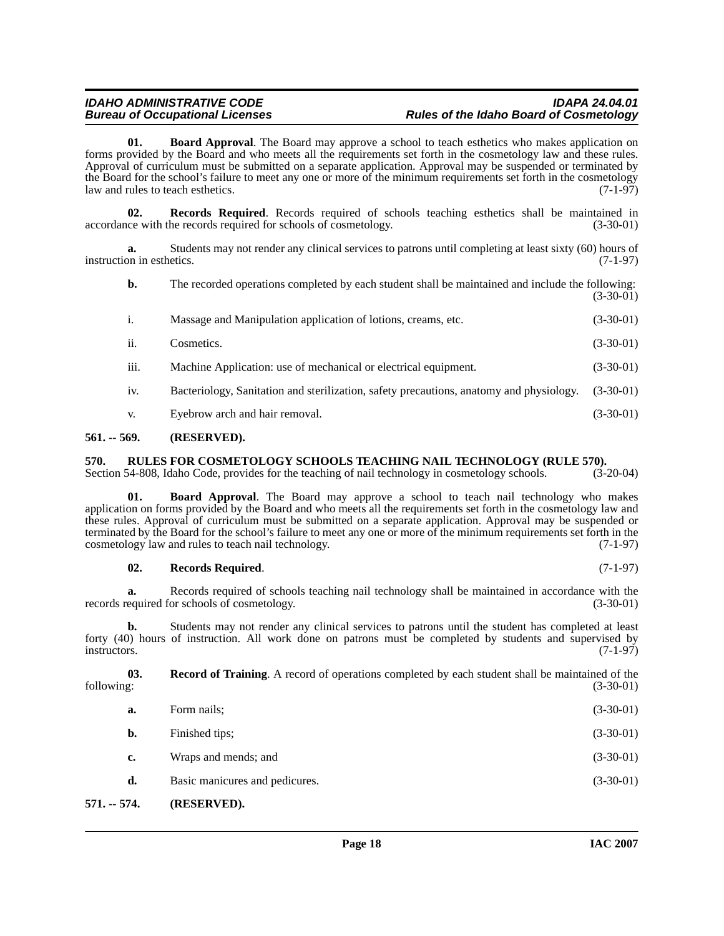<span id="page-17-3"></span>**01. Board Approval**. The Board may approve a school to teach esthetics who makes application on forms provided by the Board and who meets all the requirements set forth in the cosmetology law and these rules. Approval of curriculum must be submitted on a separate application. Approval may be suspended or terminated by the Board for the school's failure to meet any one or more of the minimum requirements set forth in the cosmetology<br>law and rules to teach esthetics. law and rules to teach esthetics.

<span id="page-17-6"></span>**02. Records Required**. Records required of schools teaching esthetics shall be maintained in the records required for schools of cosmetology. (3-30-01) accordance with the records required for schools of cosmetology.

**a.** Students may not render any clinical services to patrons until completing at least sixty (60) hours of on in esthetics. (7-1-97) instruction in esthetics.

| b.   | The recorded operations completed by each student shall be maintained and include the following: | $(3-30-01)$ |
|------|--------------------------------------------------------------------------------------------------|-------------|
| i.   | Massage and Manipulation application of lotions, creams, etc.                                    | $(3-30-01)$ |
| ii.  | Cosmetics.                                                                                       | $(3-30-01)$ |
| iii. | Machine Application: use of mechanical or electrical equipment.                                  | $(3-30-01)$ |
| iv.  | Bacteriology, Sanitation and sterilization, safety precautions, anatomy and physiology.          | $(3-30-01)$ |
| V.   | Eyebrow arch and hair removal.                                                                   | $(3-30-01)$ |

#### <span id="page-17-0"></span>**561. -- 569. (RESERVED).**

## <span id="page-17-8"></span><span id="page-17-1"></span>**570.** RULES FOR COSMETOLOGY SCHOOLS TEACHING NAIL TECHNOLOGY (RULE 570). Section 54-808, Idaho Code, provides for the teaching of nail technology in cosmetology schools. (3-20-04)

Section 54-808, Idaho Code, provides for the teaching of nail technology in cosmetology schools.

<span id="page-17-4"></span>**01. Board Approval**. The Board may approve a school to teach nail technology who makes application on forms provided by the Board and who meets all the requirements set forth in the cosmetology law and these rules. Approval of curriculum must be submitted on a separate application. Approval may be suspended or terminated by the Board for the school's failure to meet any one or more of the minimum requirements set forth in the cosmetology law and rules to teach nail technology. cosmetology law and rules to teach nail technology.

#### <span id="page-17-7"></span>**02. Records Required**. (7-1-97)

**a.** Records required of schools teaching nail technology shall be maintained in accordance with the equired for schools of cosmetology. (3-30-01) records required for schools of cosmetology.

**b.** Students may not render any clinical services to patrons until the student has completed at least forty (40) hours of instruction. All work done on patrons must be completed by students and supervised by instructors.  $(7-1-97)$ 

**03. Record of Training**. A record of operations completed by each student shall be maintained of the following: (3-30-01)

<span id="page-17-5"></span>

| a. | Form nails;                    | $(3-30-01)$ |
|----|--------------------------------|-------------|
| b. | Finished tips;                 | $(3-30-01)$ |
| c. | Wraps and mends; and           | $(3-30-01)$ |
| d. | Basic manicures and pedicures. | $(3-30-01)$ |
|    |                                |             |

#### <span id="page-17-2"></span>**571. -- 574. (RESERVED).**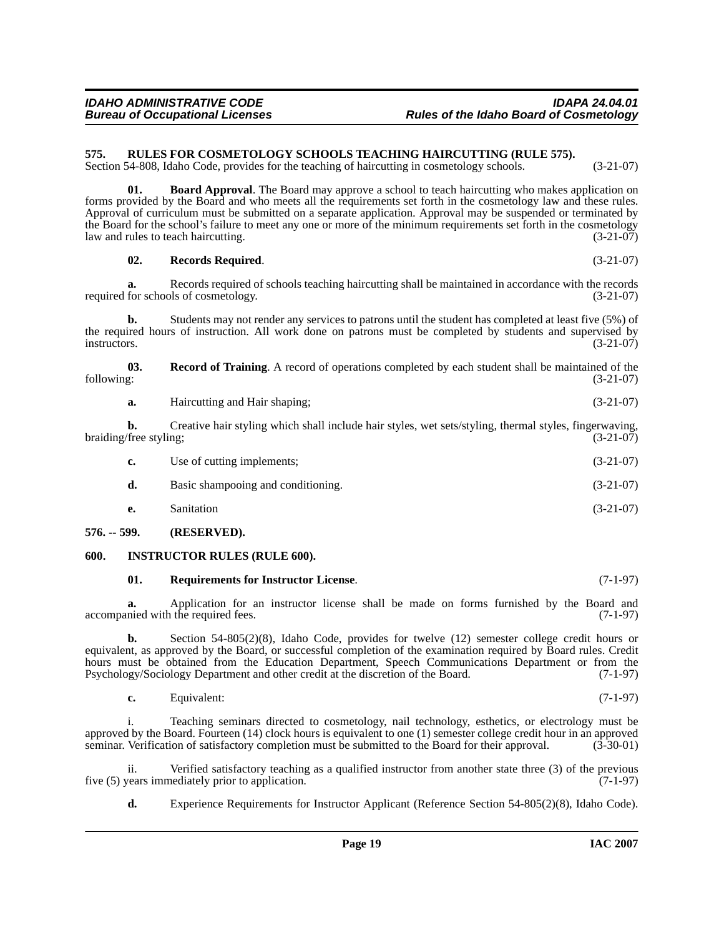#### <span id="page-18-0"></span>**575. RULES FOR COSMETOLOGY SCHOOLS TEACHING HAIRCUTTING (RULE 575).**

Section 54-808, Idaho Code, provides for the teaching of haircutting in cosmetology schools. (3-21-07)

**01. Board Approval**. The Board may approve a school to teach haircutting who makes application on forms provided by the Board and who meets all the requirements set forth in the cosmetology law and these rules. Approval of curriculum must be submitted on a separate application. Approval may be suspended or terminated by the Board for the school's failure to meet any one or more of the minimum requirements set forth in the cosmetology law and rules to teach haircutting. (3-21-07)

**02. Records Required**. (3-21-07)

**a.** Records required of schools teaching haircutting shall be maintained in accordance with the records required for schools of cosmetology. (3-21-07)

**b.** Students may not render any services to patrons until the student has completed at least five (5%) of the required hours of instruction. All work done on patrons must be completed by students and supervised by instructors. (3-21-07) instructors.  $(3-21-07)$ 

**03.** Record of Training. A record of operations completed by each student shall be maintained of the following:  $(3-21-07)$ following: (3-21-07)

| а. | Haircutting and Hair shaping; | $(3-21-07)$ |
|----|-------------------------------|-------------|
|    |                               |             |

**b.** Creative hair styling which shall include hair styles, wet sets/styling, thermal styles, fingerwaving, *free styling*: (3-21-07) braiding/free styling;

| с. | Use of cutting implements;         | $(3-21-07)$ |
|----|------------------------------------|-------------|
| d. | Basic shampooing and conditioning. | $(3-21-07)$ |

**e.** Sanitation (3-21-07)

#### <span id="page-18-1"></span>**576. -- 599. (RESERVED).**

#### <span id="page-18-2"></span>**600. INSTRUCTOR RULES (RULE 600).**

#### <span id="page-18-4"></span><span id="page-18-3"></span>**01. Requirements for Instructor License**. (7-1-97)

**a.** Application for an instructor license shall be made on forms furnished by the Board and accompanied with the required fees. (7-1-97)

**b.** Section 54-805(2)(8), Idaho Code, provides for twelve (12) semester college credit hours or equivalent, as approved by the Board, or successful completion of the examination required by Board rules. Credit hours must be obtained from the Education Department, Speech Communications Department or from the Psychology/Sociology Department and other credit at the discretion of the Board. (7-1-97) Psychology/Sociology Department and other credit at the discretion of the Board.

**c.** Equivalent: (7-1-97)

i. Teaching seminars directed to cosmetology, nail technology, esthetics, or electrology must be approved by the Board. Fourteen (14) clock hours is equivalent to one (1) semester college credit hour in an approved seminar. Verification of satisfactory completion must be submitted to the Board for their approval. (3-30-01)

ii. Verified satisfactory teaching as a qualified instructor from another state three (3) of the previous vears immediately prior to application. (7-1-97) five  $(5)$  years immediately prior to application.

**d.** Experience Requirements for Instructor Applicant (Reference Section 54-805(2)(8), Idaho Code).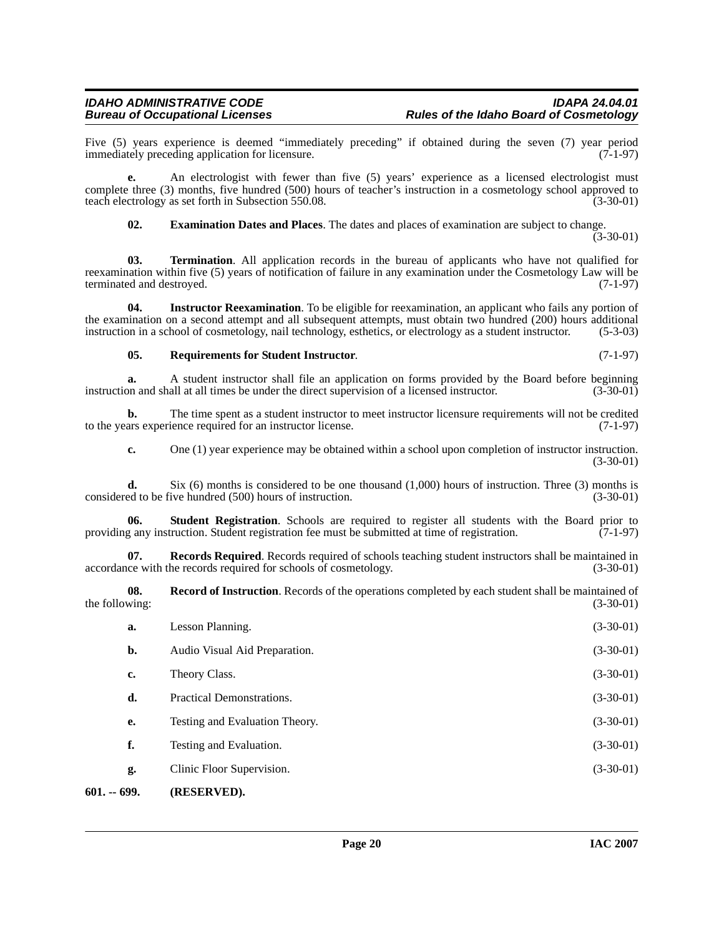Five (5) years experience is deemed "immediately preceding" if obtained during the seven (7) year period immediately preceding application for licensure.

complete three (3) months, five hundred (500) hours of teacher's instruction in a cosmetology school approved to teach electrology as set forth in Subsection 550.08. (3-30-01)

<span id="page-19-6"></span><span id="page-19-1"></span>**e.** An electrologist with fewer than five (5) years' experience as a licensed electrologist must

**03. Termination**. All application records in the bureau of applicants who have not qualified for reexamination within five (5) years of notification of failure in any examination under the Cosmetology Law will be terminated and destroved. (7-1-97) terminated and destroyed.

**04. Instructor Reexamination**. To be eligible for reexamination, an applicant who fails any portion of the examination on a second attempt and all subsequent attempts, must obtain two hundred (200) hours additional instruction in a school of cosmetology, nail technology, esthetics, or electrology as a student instructor. instruction in a school of cosmetology, nail technology, esthetics, or electrology as a student instructor.

### <span id="page-19-4"></span><span id="page-19-2"></span>**05. Requirements for Student Instructor**. (7-1-97)

immediately preceding application for licensure.

<span id="page-19-0"></span>601. --

**a.** A student instructor shall file an application on forms provided by the Board before beginning on and shall at all times be under the direct supervision of a licensed instructor. (3-30-01) instruction and shall at all times be under the direct supervision of a licensed instructor.

**b.** The time spent as a student instructor to meet instructor licensure requirements will not be credited to the years experience required for an instructor license. (7-1-97)

<span id="page-19-5"></span>**c.** One (1) year experience may be obtained within a school upon completion of instructor instruction. (3-30-01)

**d.** Six (6) months is considered to be one thousand (1,000) hours of instruction. Three (3) months is ed to be five hundred (500) hours of instruction. (3-30-01) considered to be five hundred (500) hours of instruction.

**Student Registration**. Schools are required to register all students with the Board prior to providing any instruction. Student registration fee must be submitted at time of registration. (7-1-97)

**07. Records Required**. Records required of schools teaching student instructors shall be maintained in accordance with the records required for schools of cosmetology. (3-30-01)

**08.** Record of Instruction. Records of the operations completed by each student shall be maintained of wing: (3-30-01) the following:

<span id="page-19-3"></span>

| 699.           | (RESERVED).                    |             |
|----------------|--------------------------------|-------------|
| g.             | Clinic Floor Supervision.      | $(3-30-01)$ |
| f.             | Testing and Evaluation.        | $(3-30-01)$ |
| e.             | Testing and Evaluation Theory. | $(3-30-01)$ |
| d.             | Practical Demonstrations.      | $(3-30-01)$ |
| c.             | Theory Class.                  | $(3-30-01)$ |
| $\mathbf{b}$ . | Audio Visual Aid Preparation.  | $(3-30-01)$ |
| a.             | Lesson Planning.               | $(3-30-01)$ |
|                |                                |             |

 $(3-30-01)$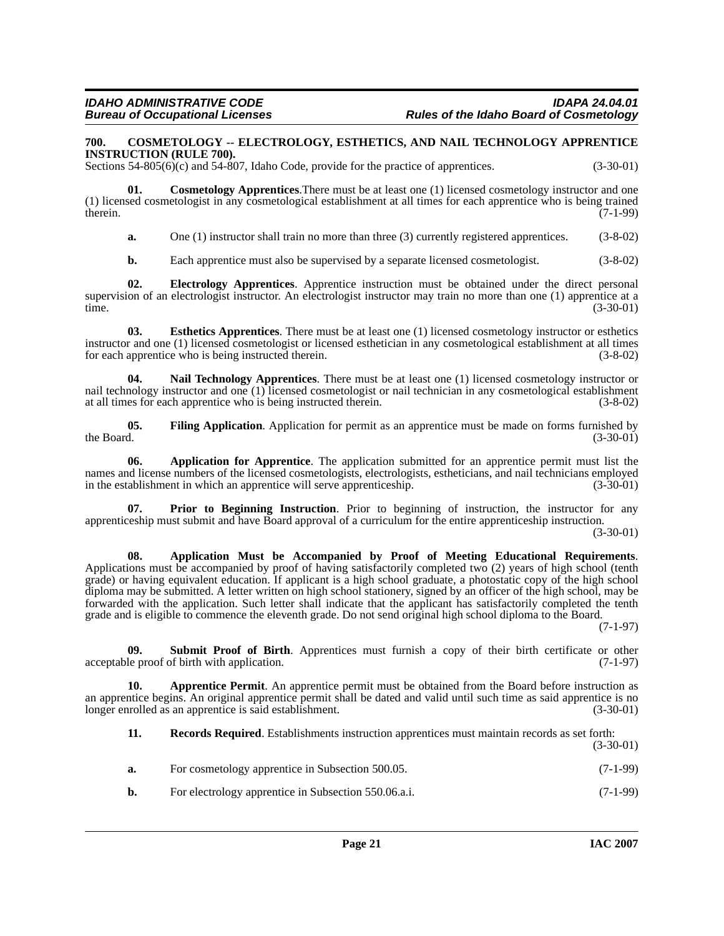#### <span id="page-20-4"></span><span id="page-20-0"></span>**700. COSMETOLOGY -- ELECTROLOGY, ESTHETICS, AND NAIL TECHNOLOGY APPRENTICE INSTRUCTION (RULE 700).**

Sections 54-805(6)(c) and 54-807, Idaho Code, provide for the practice of apprentices. (3-30-01)

**01. Cosmetology Apprentices**.There must be at least one (1) licensed cosmetology instructor and one (1) licensed cosmetologist in any cosmetological establishment at all times for each apprentice who is being trained therein.  $(7-1-99)$ 

<span id="page-20-5"></span>**a.** One (1) instructor shall train no more than three (3) currently registered apprentices. (3-8-02)

<span id="page-20-7"></span><span id="page-20-6"></span>**b.** Each apprentice must also be supervised by a separate licensed cosmetologist. (3-8-02)

**02. Electrology Apprentices**. Apprentice instruction must be obtained under the direct personal supervision of an electrologist instructor. An electrologist instructor may train no more than one (1) apprentice at a time. (3-30-01)

**03. Esthetics Apprentices**. There must be at least one (1) licensed cosmetology instructor or esthetics instructor and one (1) licensed cosmetologist or licensed esthetician in any cosmetological establishment at all times for each apprentice who is being instructed therein. (3-8-02)

<span id="page-20-9"></span>**04. Nail Technology Apprentices**. There must be at least one (1) licensed cosmetology instructor or nail technology instructor and one (1) licensed cosmetologist or nail technician in any cosmetological establishment at all times for each apprentice who is being instructed therein.  $(3-8-02)$ at all times for each apprentice who is being instructed therein.

<span id="page-20-8"></span>**05.** Filing Application. Application for permit as an apprentice must be made on forms furnished by the Board.  $(3-30-01)$ the Board.  $(3-30-01)$ 

<span id="page-20-2"></span>**06. Application for Apprentice**. The application submitted for an apprentice permit must list the names and license numbers of the licensed cosmetologists, electrologists, estheticians, and nail technicians employed<br>in the establishment in which an apprentice will serve apprenticeship. (3-30-01) in the establishment in which an apprentice will serve apprenticeship.

<span id="page-20-10"></span>**07. Prior to Beginning Instruction**. Prior to beginning of instruction, the instructor for any apprenticeship must submit and have Board approval of a curriculum for the entire apprenticeship instruction.

(3-30-01)

<span id="page-20-1"></span>**08. Application Must be Accompanied by Proof of Meeting Educational Requirements**. Applications must be accompanied by proof of having satisfactorily completed two (2) years of high school (tenth grade) or having equivalent education. If applicant is a high school graduate, a photostatic copy of the high school diploma may be submitted. A letter written on high school stationery, signed by an officer of the high school, may be forwarded with the application. Such letter shall indicate that the applicant has satisfactorily completed the tenth grade and is eligible to commence the eleventh grade. Do not send original high school diploma to the Board.

(7-1-97)

<span id="page-20-11"></span>**09.** Submit Proof of Birth. Apprentices must furnish a copy of their birth certificate or other le proof of birth with application. (7-1-97) acceptable proof of birth with application.

**10. Apprentice Permit**. An apprentice permit must be obtained from the Board before instruction as an apprentice begins. An original apprentice permit shall be dated and valid until such time as said apprentice is no longer enrolled as an apprentice is said establishment. (3-30-01)

<span id="page-20-3"></span>**11. Records Required**. Establishments instruction apprentices must maintain records as set forth: (3-30-01)

- **a.** For cosmetology apprentice in Subsection 500.05. (7-1-99)
- **b.** For electrology apprentice in Subsection 550.06.a.i. (7-1-99)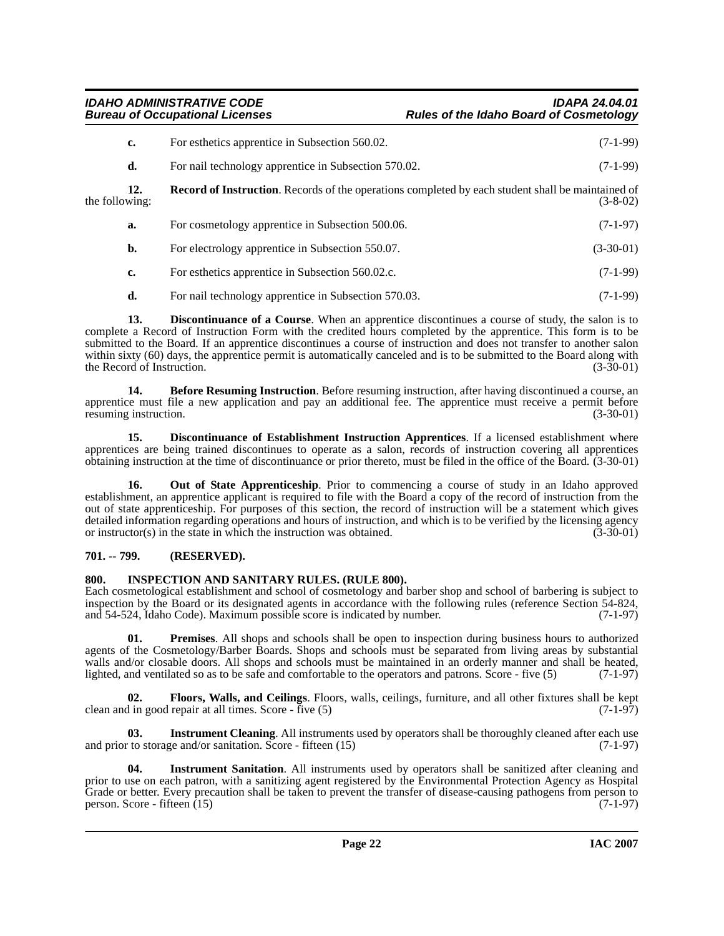**IDAHO ADMINISTRATIVE CODE IDAPA 24.04.01**

<span id="page-21-11"></span>

|                | c.  | For esthetics apprentice in Subsection 560.02.                                                           | $(7-1-99)$  |
|----------------|-----|----------------------------------------------------------------------------------------------------------|-------------|
|                | d.  | For nail technology apprentice in Subsection 570.02.                                                     | $(7-1-99)$  |
| the following: | 12. | <b>Record of Instruction.</b> Records of the operations completed by each student shall be maintained of | $(3-8-02)$  |
|                | a.  | For cosmetology apprentice in Subsection 500.06.                                                         | $(7-1-97)$  |
|                | b.  | For electrology apprentice in Subsection 550.07.                                                         | $(3-30-01)$ |
|                | c.  | For esthetics apprentice in Subsection 560.02.c.                                                         | $(7-1-99)$  |
|                | d.  | For nail technology apprentice in Subsection 570.03.                                                     | $(7-1-99)$  |

<span id="page-21-4"></span>**13. Discontinuance of a Course**. When an apprentice discontinues a course of study, the salon is to complete a Record of Instruction Form with the credited hours completed by the apprentice. This form is to be submitted to the Board. If an apprentice discontinues a course of instruction and does not transfer to another salon within sixty (60) days, the apprentice permit is automatically canceled and is to be submitted to the Board along with the Record of Instruction.  $(3-30-01)$ 

<span id="page-21-2"></span>**14. Before Resuming Instruction**. Before resuming instruction, after having discontinued a course, an apprentice must file a new application and pay an additional fee. The apprentice must receive a permit before resuming instruction. (3-30-01) resuming instruction.

<span id="page-21-3"></span>**15. Discontinuance of Establishment Instruction Apprentices**. If a licensed establishment where apprentices are being trained discontinues to operate as a salon, records of instruction covering all apprentices obtaining instruction at the time of discontinuance or prior thereto, must be filed in the office of the Board. (3-30-01)

<span id="page-21-9"></span>**16. Out of State Apprenticeship**. Prior to commencing a course of study in an Idaho approved establishment, an apprentice applicant is required to file with the Board a copy of the record of instruction from the out of state apprenticeship. For purposes of this section, the record of instruction will be a statement which gives detailed information regarding operations and hours of instruction, and which is to be verified by the licensing agency<br>or instructor(s) in the state in which the instruction was obtained. (3-30-01) or instructor $(s)$  in the state in which the instruction was obtained.

### <span id="page-21-0"></span>**701. -- 799. (RESERVED).**

### <span id="page-21-6"></span><span id="page-21-1"></span>**800. INSPECTION AND SANITARY RULES. (RULE 800).**

Each cosmetological establishment and school of cosmetology and barber shop and school of barbering is subject to inspection by the Board or its designated agents in accordance with the following rules (reference Section 54-824, and 54-524, Idaho Code). Maximum possible score is indicated by number. (7-1-97)

<span id="page-21-10"></span>**01. Premises**. All shops and schools shall be open to inspection during business hours to authorized agents of the Cosmetology/Barber Boards. Shops and schools must be separated from living areas by substantial walls and/or closable doors. All shops and schools must be maintained in an orderly manner and shall be heated, lighted, and ventilated so as to be safe and comfortable to the operators and patrons. Score - five (5) (7-1-9 lighted, and ventilated so as to be safe and comfortable to the operators and patrons. Score - five  $(5)$ 

<span id="page-21-5"></span>**Floors, Walls, and Ceilings**. Floors, walls, ceilings, furniture, and all other fixtures shall be kept repair at all times. Score - five (5) (7-1-97) clean and in good repair at all times. Score - five  $(5)$ 

<span id="page-21-7"></span>**03.** Instrument Cleaning. All instruments used by operators shall be thoroughly cleaned after each use and prior to storage and/or sanitation. Score - fifteen  $(15)$  (7-1-97)

<span id="page-21-8"></span>**04. Instrument Sanitation**. All instruments used by operators shall be sanitized after cleaning and prior to use on each patron, with a sanitizing agent registered by the Environmental Protection Agency as Hospital Grade or better. Every precaution shall be taken to prevent the transfer of disease-causing pathogens from person to person. Score - fifteen (15) person. Score - fifteen  $(15)$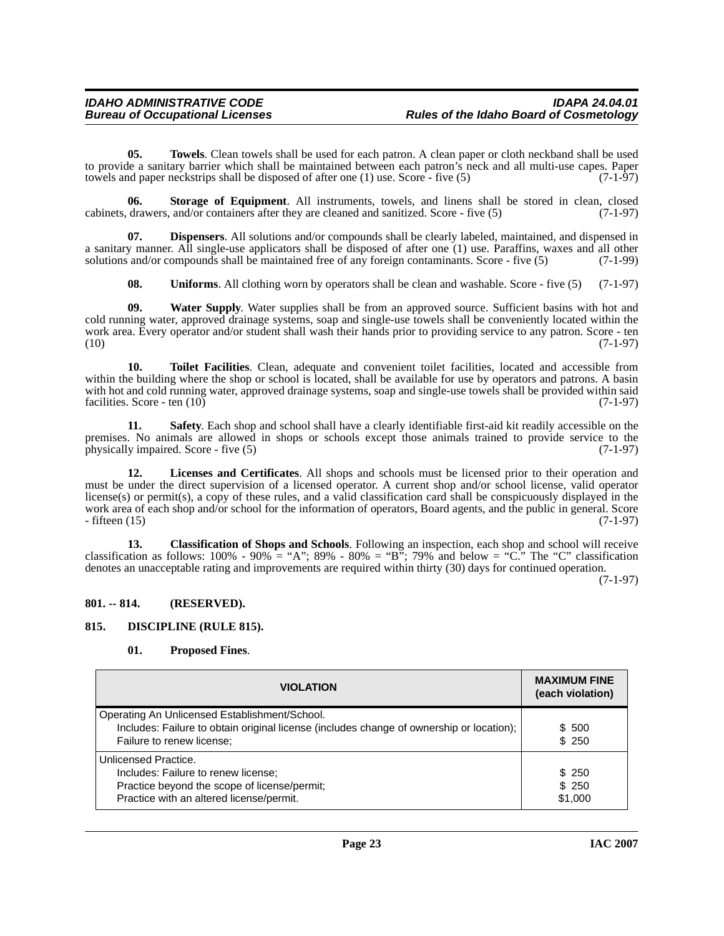<span id="page-22-10"></span>**05. Towels**. Clean towels shall be used for each patron. A clean paper or cloth neckband shall be used to provide a sanitary barrier which shall be maintained between each patron's neck and all multi-use capes. Paper<br>towels and paper neckstrips shall be disposed of after one (1) use. Score - five (5) (7-1-97) towels and paper neckstrips shall be disposed of after one  $(1)$  use. Score - five  $(5)$ 

<span id="page-22-8"></span>**06.** Storage of Equipment. All instruments, towels, and linens shall be stored in clean, closed drawers, and/or containers after they are cleaned and sanitized. Score - five (5) (7-1-97) cabinets, drawers, and/or containers after they are cleaned and sanitized. Score - five (5)

**07. Dispensers**. All solutions and/or compounds shall be clearly labeled, maintained, and dispensed in a sanitary manner. All single-use applicators shall be disposed of after one (1) use. Paraffins, waxes and all other solutions and/or compounds shall be maintained free of any foreign contaminants. Score - five (5) (7-1-99 solutions and/or compounds shall be maintained free of any foreign contaminants. Score - five  $(5)$ 

<span id="page-22-12"></span><span id="page-22-11"></span><span id="page-22-9"></span><span id="page-22-4"></span>**08. Uniforms**. All clothing worn by operators shall be clean and washable. Score - five (5) (7-1-97)

**09. Water Supply**. Water supplies shall be from an approved source. Sufficient basins with hot and cold running water, approved drainage systems, soap and single-use towels shall be conveniently located within the work area. Every operator and/or student shall wash their hands prior to providing service to any patron. Score - ten (10) (7-1-97)  $(10)$   $(7-1-97)$ 

**10. Toilet Facilities**. Clean, adequate and convenient toilet facilities, located and accessible from within the building where the shop or school is located, shall be available for use by operators and patrons. A basin with hot and cold running water, approved drainage systems, soap and single-use towels shall be provided within said facilities. Score - ten (10) facilities. Score - ten  $(10)$ 

<span id="page-22-7"></span>**11. Safety**. Each shop and school shall have a clearly identifiable first-aid kit readily accessible on the premises. No animals are allowed in shops or schools except those animals trained to provide service to the physically impaired. Score - five (5) (7-1-97) physically impaired. Score - five  $(5)$ 

<span id="page-22-5"></span>**12. Licenses and Certificates**. All shops and schools must be licensed prior to their operation and must be under the direct supervision of a licensed operator. A current shop and/or school license, valid operator license(s) or permit(s), a copy of these rules, and a valid classification card shall be conspicuously displayed in the work area of each shop and/or school for the information of operators, Board agents, and the public in general. Score - fifteen (15) (7-1-97) - fifteen (15) (7-1-97)

<span id="page-22-2"></span>**13. Classification of Shops and Schools**. Following an inspection, each shop and school will receive classification as follows:  $100\%$  -  $90\%$  = "A";  $89\%$  -  $80\%$  = "B";  $79\%$  and below = "C." The "C" classification denotes an unacceptable rating and improvements are required within thirty (30) days for continued operation.

(7-1-97)

#### <span id="page-22-0"></span>**801. -- 814. (RESERVED).**

#### <span id="page-22-1"></span>**815. DISCIPLINE (RULE 815).**

#### <span id="page-22-6"></span><span id="page-22-3"></span>**01. Proposed Fines**.

| <b>VIOLATION</b>                                                                                                                                                       | <b>MAXIMUM FINE</b><br>(each violation) |
|------------------------------------------------------------------------------------------------------------------------------------------------------------------------|-----------------------------------------|
| Operating An Unlicensed Establishment/School.<br>Includes: Failure to obtain original license (includes change of ownership or location);<br>Failure to renew license; | \$ 500<br>\$250                         |
| Unlicensed Practice.<br>Includes: Failure to renew license;<br>Practice beyond the scope of license/permit;<br>Practice with an altered license/permit.                | \$ 250<br>\$250<br>\$1,000              |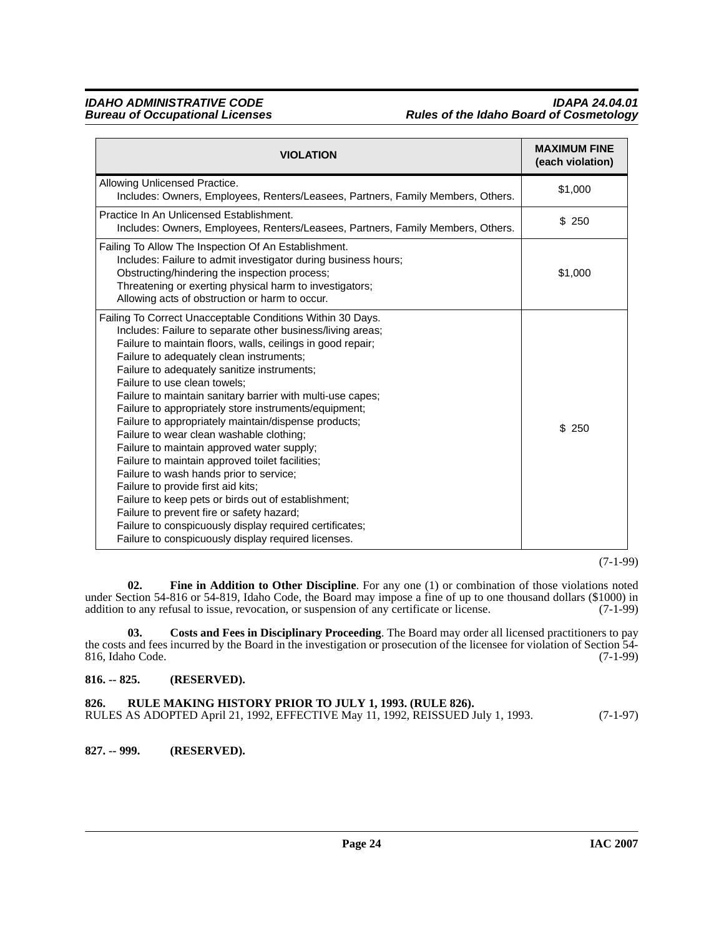### **IDAHO ADMINISTRATIVE CODE IDAPA 24.04.01 Rules of the Idaho Board of Cosmetology**

| <b>VIOLATION</b>                                                                                                                                                                                                                                                                                                                                                                                                                                                                                                                                                                                                                                                                                                                                                                                                                                                                                                                                      | <b>MAXIMUM FINE</b><br>(each violation) |
|-------------------------------------------------------------------------------------------------------------------------------------------------------------------------------------------------------------------------------------------------------------------------------------------------------------------------------------------------------------------------------------------------------------------------------------------------------------------------------------------------------------------------------------------------------------------------------------------------------------------------------------------------------------------------------------------------------------------------------------------------------------------------------------------------------------------------------------------------------------------------------------------------------------------------------------------------------|-----------------------------------------|
| Allowing Unlicensed Practice.<br>Includes: Owners, Employees, Renters/Leasees, Partners, Family Members, Others.                                                                                                                                                                                                                                                                                                                                                                                                                                                                                                                                                                                                                                                                                                                                                                                                                                      | \$1,000                                 |
| Practice In An Unlicensed Establishment.<br>Includes: Owners, Employees, Renters/Leasees, Partners, Family Members, Others.                                                                                                                                                                                                                                                                                                                                                                                                                                                                                                                                                                                                                                                                                                                                                                                                                           | \$250                                   |
| Failing To Allow The Inspection Of An Establishment.<br>Includes: Failure to admit investigator during business hours;<br>Obstructing/hindering the inspection process;<br>Threatening or exerting physical harm to investigators;<br>Allowing acts of obstruction or harm to occur.                                                                                                                                                                                                                                                                                                                                                                                                                                                                                                                                                                                                                                                                  | \$1,000                                 |
| Failing To Correct Unacceptable Conditions Within 30 Days.<br>Includes: Failure to separate other business/living areas;<br>Failure to maintain floors, walls, ceilings in good repair;<br>Failure to adequately clean instruments;<br>Failure to adequately sanitize instruments;<br>Failure to use clean towels;<br>Failure to maintain sanitary barrier with multi-use capes;<br>Failure to appropriately store instruments/equipment;<br>Failure to appropriately maintain/dispense products;<br>Failure to wear clean washable clothing;<br>Failure to maintain approved water supply;<br>Failure to maintain approved toilet facilities;<br>Failure to wash hands prior to service;<br>Failure to provide first aid kits;<br>Failure to keep pets or birds out of establishment;<br>Failure to prevent fire or safety hazard;<br>Failure to conspicuously display required certificates;<br>Failure to conspicuously display required licenses. | \$250                                   |

(7-1-99)

<span id="page-23-4"></span>**02. Fine in Addition to Other Discipline**. For any one (1) or combination of those violations noted under Section 54-816 or 54-819, Idaho Code, the Board may impose a fine of up to one thousand dollars (\$1000) in addition to any refusal to issue, revocation, or suspension of any certificate or license. (7-1-99) addition to any refusal to issue, revocation, or suspension of any certificate or license.

<span id="page-23-3"></span>**03. Costs and Fees in Disciplinary Proceeding**. The Board may order all licensed practitioners to pay the costs and fees incurred by the Board in the investigation or prosecution of the licensee for violation of Section 54-<br>816, Idaho Code. (7-1-99) 816, Idaho Code.

#### <span id="page-23-0"></span>**816. -- 825. (RESERVED).**

<span id="page-23-1"></span>

| 826. | <b>RULE MAKING HISTORY PRIOR TO JULY 1, 1993. (RULE 826).</b>                   |            |
|------|---------------------------------------------------------------------------------|------------|
|      | RULES AS ADOPTED April 21, 1992, EFFECTIVE May 11, 1992, REISSUED July 1, 1993. | $(7-1-97)$ |

<span id="page-23-2"></span>**827. -- 999. (RESERVED).**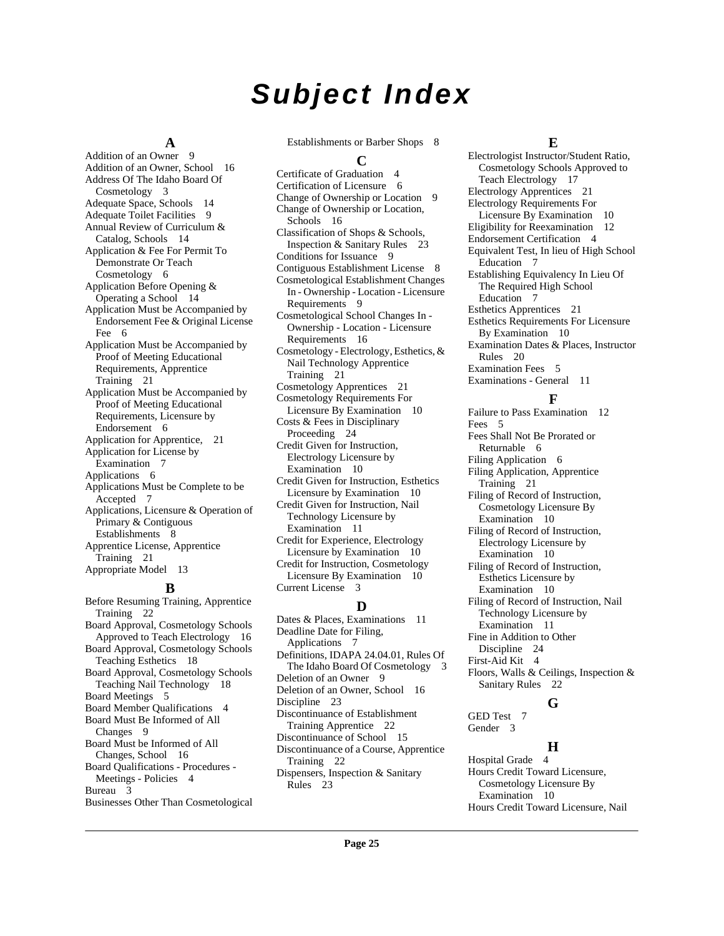# **Subject Index**

#### **A**

Addition of an Owner [9](#page-8-3) Addition of an Owner, School [16](#page-15-4) Address Of The Idaho Board Of Cosmetology [3](#page-2-10) Adequate Space, Schools [14](#page-13-4) Adequate Toilet Facilities [9](#page-8-4) Annual Review of Curriculum & Catalog, Schools [14](#page-13-5) Application & Fee For Permit To Demonstrate Or Teach Cosmetology [6](#page-5-6) Application Before Opening & Operating a School [14](#page-13-6) Application Must be Accompanied by Endorsement Fee & Original License Fee [6](#page-5-7) Application Must be Accompanied by Proof of Meeting Educational Requirements, Apprentice Training [21](#page-20-1) Application Must be Accompanied by Proof of Meeting Educational Requirements, Licensure by Endorsement [6](#page-5-8) Application for Apprentice, [21](#page-20-2) Application for License by Examination [7](#page-6-3) Applications [6](#page-5-9) Applications Must be Complete to be Accepted [7](#page-6-4) Applications, Licensure & Operation of Primary & Contiguous Establishments [8](#page-7-1) Apprentice License, Apprentice Training [21](#page-20-3) Appropriate Model [13](#page-12-8)

#### **B**

Before Resuming Training, Apprentice Training [22](#page-21-2) Board Approval, Cosmetology Schools Approved to Teach Electrology [16](#page-15-5) Board Approval, Cosmetology Schools Teaching Esthetics [18](#page-17-3) Board Approval, Cosmetology Schools Teaching Nail Technology [18](#page-17-4) Board Meetings [5](#page-4-2) Board Member Qualifications [4](#page-3-2) Board Must Be Informed of All Changes [9](#page-8-5) Board Must be Informed of All Changes, School [16](#page-15-6) Board Qualifications - Procedures - Meetings - Policies [4](#page-3-3) Bureau [3](#page-2-11) Businesses Other Than Cosmetological Establishments or Barber Shops [8](#page-7-2)

#### **C**

Certificate of Graduation [4](#page-3-4) Certification of Licensure [6](#page-5-10) Change of Ownership or Location [9](#page-8-6) Change of Ownership or Location, Schools [16](#page-15-7) Classification of Shops & Schools, Inspection & Sanitary Rules [23](#page-22-2) Conditions for Issuance [9](#page-8-7) Contiguous Establishment License [8](#page-7-3) Cosmetological Establishment Changes In - Ownership - Location - Licensure Requirements [9](#page-8-8) Cosmetological School Changes In - Ownership - Location - Licensure Requirements [16](#page-15-8) Cosmetology - Electrology, Esthetics, & Nail Technology Apprentice Training [21](#page-20-4) Cosmetology Apprentices [21](#page-20-5) Cosmetology Requirements For Licensure By Examination [10](#page-9-5) Costs & Fees in Disciplinary Proceeding [24](#page-23-3) Credit Given for Instruction, Electrology Licensure by Examination [10](#page-9-6) Credit Given for Instruction, Esthetics Licensure by Examination [10](#page-9-7) Credit Given for Instruction, Nail Technology Licensure by Examination [11](#page-10-6) Credit for Experience, Electrology Licensure by Examination [10](#page-9-8) Credit for Instruction, Cosmetology Licensure By Examination [10](#page-9-9) Current License [3](#page-2-12) **D**

Dates & Places, Examinations [11](#page-10-7) Deadline Date for Filing, Applications [7](#page-6-5) Definitions, IDAPA 24.04.01, Rules Of The Idaho Board Of Cosmetology [3](#page-2-13) Deletion of an Owner [9](#page-8-9) Deletion of an Owner, School [16](#page-15-9) Discipline [23](#page-22-3) Discontinuance of Establishment Training Apprentice [22](#page-21-3) Discontinuance of School [15](#page-14-0) Discontinuance of a Course, Apprentice Training [22](#page-21-4) Dispensers, Inspection & Sanitary Rules [23](#page-22-4)

#### **E**

Electrologist Instructor/Student Ratio, Cosmetology Schools Approved to Teach Electrology [17](#page-16-2) Electrology Apprentices [21](#page-20-6) Electrology Requirements For Licensure By Examination [10](#page-9-10) Eligibility for Reexamination [12](#page-11-0) Endorsement Certification [4](#page-3-5) Equivalent Test, In lieu of High School Education [7](#page-6-6) Establishing Equivalency In Lieu Of The Required High School Education [7](#page-6-7) Esthetics Apprentices [21](#page-20-7) Esthetics Requirements For Licensure By Examination [10](#page-9-11) Examination Dates & Places, Instructor Rules [20](#page-19-1) Examination Fees [5](#page-4-3) Examinations - General [11](#page-10-8)

#### **F**

Failure to Pass Examination [12](#page-11-1) Fees [5](#page-4-4) Fees Shall Not Be Prorated or Returnable [6](#page-5-11) Filing Application [6](#page-5-12) Filing Application, Apprentice Training [21](#page-20-8) Filing of Record of Instruction, Cosmetology Licensure By Examination [10](#page-9-12) Filing of Record of Instruction, Electrology Licensure by Examination [10](#page-9-13) Filing of Record of Instruction, Esthetics Licensure by Examination [10](#page-9-14) Filing of Record of Instruction, Nail Technology Licensure by Examination [11](#page-10-9) Fine in Addition to Other Discipline [24](#page-23-4) First-Aid Kit [4](#page-3-6) Floors, Walls & Ceilings, Inspection & Sanitary Rules [22](#page-21-5)

#### **G**

GED Test [7](#page-6-8) Gender [3](#page-2-14)

#### **H**

Hospital Grade [4](#page-3-7) Hours Credit Toward Licensure, Cosmetology Licensure By Examination [10](#page-9-15) Hours Credit Toward Licensure, Nail